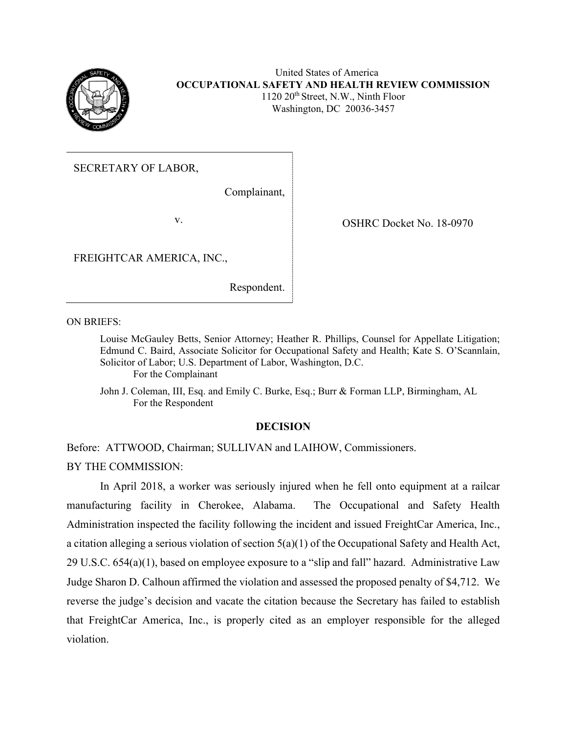

# United States of America **OCCUPATIONAL SAFETY AND HEALTH REVIEW COMMISSION** 1120 20<sup>th</sup> Street, N.W., Ninth Floor Washington, DC 20036-3457

SECRETARY OF LABOR,

Complainant,

v. COSHRC Docket No. 18-0970

FREIGHTCAR AMERICA, INC.,

Respondent.

ON BRIEFS:

Louise McGauley Betts, Senior Attorney; Heather R. Phillips, Counsel for Appellate Litigation; Edmund C. Baird, Associate Solicitor for Occupational Safety and Health; Kate S. O'Scannlain, Solicitor of Labor; U.S. Department of Labor, Washington, D.C. For the Complainant

John J. Coleman, III, Esq. and Emily C. Burke, Esq.; Burr & Forman LLP, Birmingham, AL For the Respondent

# **DECISION**

Before: ATTWOOD, Chairman; SULLIVAN and LAIHOW, Commissioners. BY THE COMMISSION:

In April 2018, a worker was seriously injured when he fell onto equipment at a railcar manufacturing facility in Cherokee, Alabama. The Occupational and Safety Health Administration inspected the facility following the incident and issued FreightCar America, Inc., a citation alleging a serious violation of section 5(a)(1) of the Occupational Safety and Health Act, 29 U.S.C. 654(a)(1), based on employee exposure to a "slip and fall" hazard. Administrative Law Judge Sharon D. Calhoun affirmed the violation and assessed the proposed penalty of \$4,712. We reverse the judge's decision and vacate the citation because the Secretary has failed to establish that FreightCar America, Inc., is properly cited as an employer responsible for the alleged violation.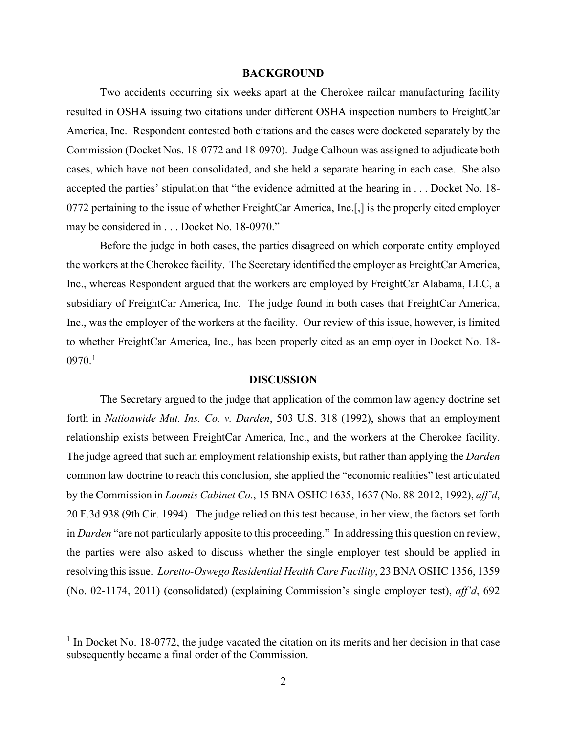#### **BACKGROUND**

Two accidents occurring six weeks apart at the Cherokee railcar manufacturing facility resulted in OSHA issuing two citations under different OSHA inspection numbers to FreightCar America, Inc. Respondent contested both citations and the cases were docketed separately by the Commission (Docket Nos. 18-0772 and 18-0970). Judge Calhoun was assigned to adjudicate both cases, which have not been consolidated, and she held a separate hearing in each case. She also accepted the parties' stipulation that "the evidence admitted at the hearing in . . . Docket No. 18- 0772 pertaining to the issue of whether FreightCar America, Inc.[,] is the properly cited employer may be considered in . . . Docket No. 18-0970."

Before the judge in both cases, the parties disagreed on which corporate entity employed the workers at the Cherokee facility. The Secretary identified the employer as FreightCar America, Inc., whereas Respondent argued that the workers are employed by FreightCar Alabama, LLC, a subsidiary of FreightCar America, Inc. The judge found in both cases that FreightCar America, Inc., was the employer of the workers at the facility. Our review of this issue, however, is limited to whether FreightCar America, Inc., has been properly cited as an employer in Docket No. 18-  $0970.<sup>1</sup>$  $0970.<sup>1</sup>$  $0970.<sup>1</sup>$ 

### **DISCUSSION**

The Secretary argued to the judge that application of the common law agency doctrine set forth in *Nationwide Mut. Ins. Co. v. Darden*, 503 U.S. 318 (1992), shows that an employment relationship exists between FreightCar America, Inc., and the workers at the Cherokee facility. The judge agreed that such an employment relationship exists, but rather than applying the *Darden* common law doctrine to reach this conclusion, she applied the "economic realities" test articulated by the Commission in *Loomis Cabinet Co.*, 15 BNA OSHC 1635, 1637 (No. 88-2012, 1992), *aff'd*, 20 F.3d 938 (9th Cir. 1994). The judge relied on this test because, in her view, the factors set forth in *Darden* "are not particularly apposite to this proceeding." In addressing this question on review, the parties were also asked to discuss whether the single employer test should be applied in resolving this issue. *Loretto-Oswego Residential Health Care Facility*, 23 BNA OSHC 1356, 1359 (No. 02-1174, 2011) (consolidated) (explaining Commission's single employer test), *aff'd*, 692

<span id="page-1-0"></span> $<sup>1</sup>$  In Docket No. 18-0772, the judge vacated the citation on its merits and her decision in that case</sup> subsequently became a final order of the Commission.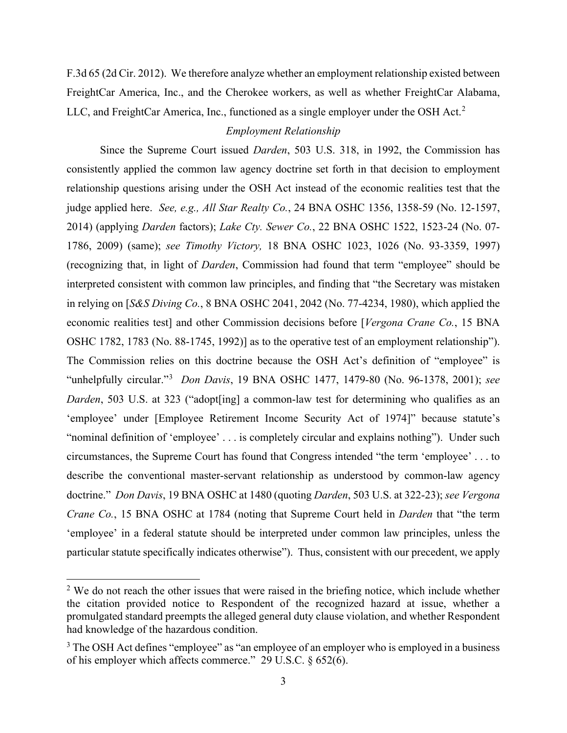F.3d 65 (2d Cir. 2012). We therefore analyze whether an employment relationship existed between FreightCar America, Inc., and the Cherokee workers, as well as whether FreightCar Alabama, LLC, and FreightCar America, Inc., functioned as a single employer under the OSH Act.<sup>[2](#page-2-0)</sup>

# *Employment Relationship*

Since the Supreme Court issued *Darden*, 503 U.S. 318, in 1992, the Commission has consistently applied the common law agency doctrine set forth in that decision to employment relationship questions arising under the OSH Act instead of the economic realities test that the judge applied here. *See, e.g., All Star Realty Co.*, 24 BNA OSHC 1356, 1358-59 (No. 12-1597, 2014) (applying *Darden* factors); *Lake Cty. Sewer Co.*, 22 BNA OSHC 1522, 1523-24 (No. 07- 1786, 2009) (same); *see Timothy Victory,* 18 BNA OSHC 1023, 1026 (No. 93-3359, 1997) (recognizing that, in light of *Darden*, Commission had found that term "employee" should be interpreted consistent with common law principles, and finding that "the Secretary was mistaken in relying on [*S&S Diving Co.*, 8 BNA OSHC 2041, 2042 (No. 77-4234, 1980), which applied the economic realities test] and other Commission decisions before [*Vergona Crane Co.*, 15 BNA OSHC 1782, 1783 (No. 88-1745, 1992)] as to the operative test of an employment relationship"). The Commission relies on this doctrine because the OSH Act's definition of "employee" is "unhelpfully circular."[3](#page-2-1) *Don Davis*, 19 BNA OSHC 1477, 1479-80 (No. 96-1378, 2001); *see Darden*, 503 U.S. at 323 ("adopt<sup>[ing]</sup> a common-law test for determining who qualifies as an 'employee' under [Employee Retirement Income Security Act of 1974]" because statute's "nominal definition of 'employee' . . . is completely circular and explains nothing"). Under such circumstances, the Supreme Court has found that Congress intended "the term 'employee' . . . to describe the conventional master-servant relationship as understood by common-law agency doctrine." *Don Davis*, 19 BNA OSHC at 1480 (quoting *Darden*, 503 U.S. at 322-23); *see Vergona Crane Co.*, 15 BNA OSHC at 1784 (noting that Supreme Court held in *Darden* that "the term 'employee' in a federal statute should be interpreted under common law principles, unless the particular statute specifically indicates otherwise"). Thus, consistent with our precedent, we apply

<span id="page-2-0"></span> $2$  We do not reach the other issues that were raised in the briefing notice, which include whether the citation provided notice to Respondent of the recognized hazard at issue, whether a promulgated standard preempts the alleged general duty clause violation, and whether Respondent had knowledge of the hazardous condition.

<span id="page-2-1"></span><sup>&</sup>lt;sup>3</sup> The OSH Act defines "employee" as "an employee of an employer who is employed in a business of his employer which affects commerce." 29 U.S.C. § 652(6).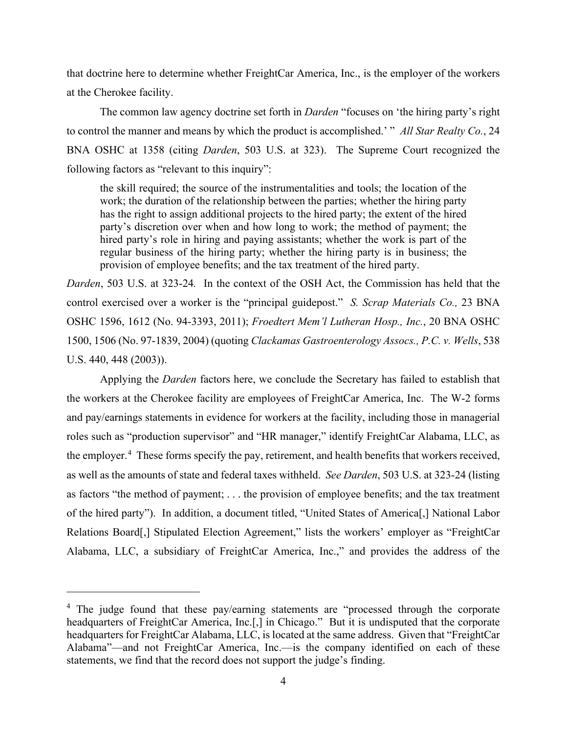that doctrine here to determine whether FreightCar America, Inc., is the employer of the workers at the Cherokee facility.

The common law agency doctrine set forth in *Darden* "focuses on 'the hiring party's right to control the manner and means by which the product is accomplished.' " *All Star Realty Co.*, 24 BNA OSHC at 1358 (citing *Darden*, 503 U.S. at 323). The Supreme Court recognized the following factors as "relevant to this inquiry":

the skill required; the source of the instrumentalities and tools; the location of the work; the duration of the relationship between the parties; whether the hiring party has the right to assign additional projects to the hired party; the extent of the hired party's discretion over when and how long to work; the method of payment; the hired party's role in hiring and paying assistants; whether the work is part of the regular business of the hiring party; whether the hiring party is in business; the provision of employee benefits; and the tax treatment of the hired party.

*Darden*, 503 U.S. at 323-24*.* In the context of the OSH Act, the Commission has held that the control exercised over a worker is the "principal guidepost." *S. Scrap Materials Co.,* 23 BNA OSHC 1596, 1612 (No. 94-3393, 2011); *Froedtert Mem'l Lutheran Hosp., Inc.*, 20 BNA OSHC 1500, 1506 (No. 97-1839, 2004) (quoting *Clackamas Gastroenterology Assocs., P.C. v. Wells*, 538 U.S. 440, 448 (2003)).

Applying the *Darden* factors here, we conclude the Secretary has failed to establish that the workers at the Cherokee facility are employees of FreightCar America, Inc. The W-2 forms and pay/earnings statements in evidence for workers at the facility, including those in managerial roles such as "production supervisor" and "HR manager," identify FreightCar Alabama, LLC, as the employer.<sup>[4](#page-3-0)</sup> These forms specify the pay, retirement, and health benefits that workers received, as well as the amounts of state and federal taxes withheld. *See Darden*, 503 U.S. at 323-24 (listing as factors "the method of payment; . . . the provision of employee benefits; and the tax treatment of the hired party"). In addition, a document titled, "United States of America[,] National Labor Relations Board[,] Stipulated Election Agreement," lists the workers' employer as "FreightCar Alabama, LLC, a subsidiary of FreightCar America, Inc.," and provides the address of the

<span id="page-3-0"></span><sup>&</sup>lt;sup>4</sup> The judge found that these pay/earning statements are "processed through the corporate headquarters of FreightCar America, Inc.<sup>[1]</sup> in Chicago." But it is undisputed that the corporate headquarters for FreightCar Alabama, LLC, is located at the same address. Given that "FreightCar Alabama"—and not FreightCar America, Inc.—is the company identified on each of these statements, we find that the record does not support the judge's finding.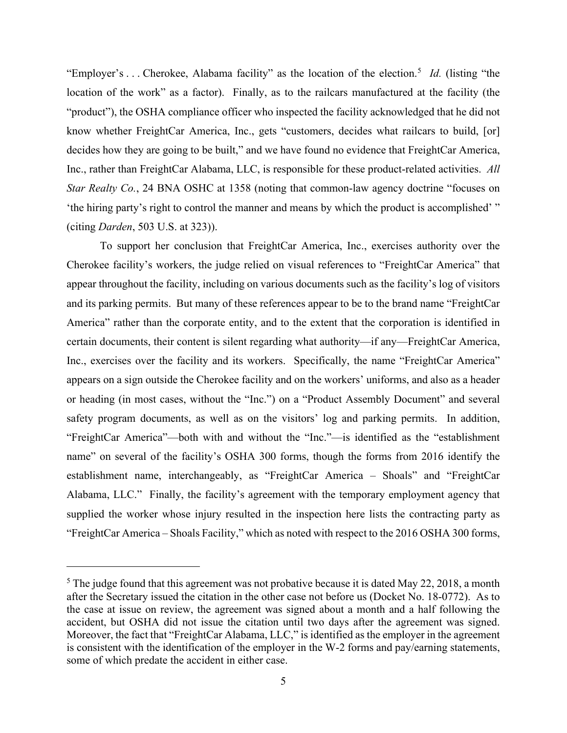"Employer's ... Cherokee, Alabama facility" as the location of the election.<sup>[5](#page-4-0)</sup> *Id.* (listing "the location of the work" as a factor). Finally, as to the railcars manufactured at the facility (the "product"), the OSHA compliance officer who inspected the facility acknowledged that he did not know whether FreightCar America, Inc., gets "customers, decides what railcars to build, [or] decides how they are going to be built," and we have found no evidence that FreightCar America, Inc., rather than FreightCar Alabama, LLC, is responsible for these product-related activities. *All Star Realty Co.*, 24 BNA OSHC at 1358 (noting that common-law agency doctrine "focuses on 'the hiring party's right to control the manner and means by which the product is accomplished' " (citing *Darden*, 503 U.S. at 323)).

To support her conclusion that FreightCar America, Inc., exercises authority over the Cherokee facility's workers, the judge relied on visual references to "FreightCar America" that appear throughout the facility, including on various documents such as the facility's log of visitors and its parking permits. But many of these references appear to be to the brand name "FreightCar America" rather than the corporate entity, and to the extent that the corporation is identified in certain documents, their content is silent regarding what authority—if any—FreightCar America, Inc., exercises over the facility and its workers. Specifically, the name "FreightCar America" appears on a sign outside the Cherokee facility and on the workers' uniforms, and also as a header or heading (in most cases, without the "Inc.") on a "Product Assembly Document" and several safety program documents, as well as on the visitors' log and parking permits. In addition, "FreightCar America"—both with and without the "Inc."—is identified as the "establishment name" on several of the facility's OSHA 300 forms, though the forms from 2016 identify the establishment name, interchangeably, as "FreightCar America – Shoals" and "FreightCar Alabama, LLC." Finally, the facility's agreement with the temporary employment agency that supplied the worker whose injury resulted in the inspection here lists the contracting party as "FreightCar America – Shoals Facility," which as noted with respect to the 2016 OSHA 300 forms,

<span id="page-4-0"></span><sup>&</sup>lt;sup>5</sup> The judge found that this agreement was not probative because it is dated May 22, 2018, a month after the Secretary issued the citation in the other case not before us (Docket No. 18-0772). As to the case at issue on review, the agreement was signed about a month and a half following the accident, but OSHA did not issue the citation until two days after the agreement was signed. Moreover, the fact that "FreightCar Alabama, LLC," is identified as the employer in the agreement is consistent with the identification of the employer in the W-2 forms and pay/earning statements, some of which predate the accident in either case.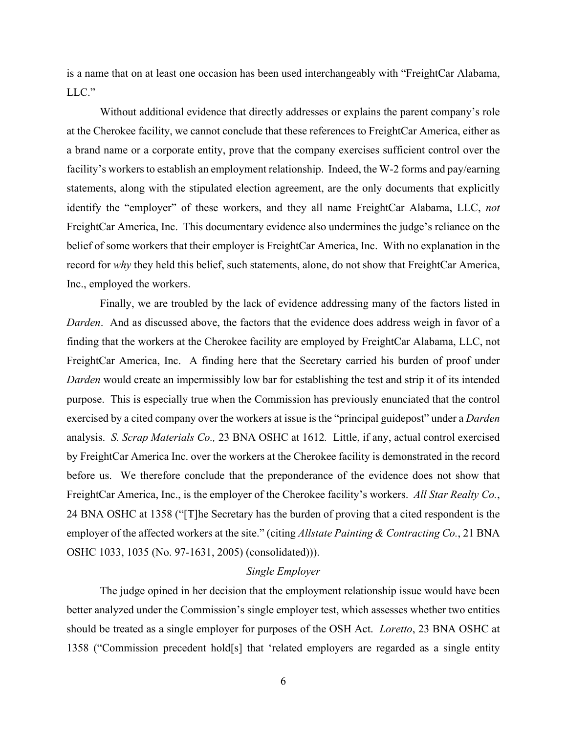is a name that on at least one occasion has been used interchangeably with "FreightCar Alabama, LLC."

Without additional evidence that directly addresses or explains the parent company's role at the Cherokee facility, we cannot conclude that these references to FreightCar America, either as a brand name or a corporate entity, prove that the company exercises sufficient control over the facility's workers to establish an employment relationship. Indeed, the W-2 forms and pay/earning statements, along with the stipulated election agreement, are the only documents that explicitly identify the "employer" of these workers, and they all name FreightCar Alabama, LLC, *not* FreightCar America, Inc. This documentary evidence also undermines the judge's reliance on the belief of some workers that their employer is FreightCar America, Inc. With no explanation in the record for *why* they held this belief, such statements, alone, do not show that FreightCar America, Inc., employed the workers.

Finally, we are troubled by the lack of evidence addressing many of the factors listed in *Darden*. And as discussed above, the factors that the evidence does address weigh in favor of a finding that the workers at the Cherokee facility are employed by FreightCar Alabama, LLC, not FreightCar America, Inc. A finding here that the Secretary carried his burden of proof under *Darden* would create an impermissibly low bar for establishing the test and strip it of its intended purpose. This is especially true when the Commission has previously enunciated that the control exercised by a cited company over the workers at issue is the "principal guidepost" under a *Darden* analysis. *S. Scrap Materials Co.,* 23 BNA OSHC at 1612*.* Little, if any, actual control exercised by FreightCar America Inc. over the workers at the Cherokee facility is demonstrated in the record before us. We therefore conclude that the preponderance of the evidence does not show that FreightCar America, Inc., is the employer of the Cherokee facility's workers. *All Star Realty Co.*, 24 BNA OSHC at 1358 ("[T]he Secretary has the burden of proving that a cited respondent is the employer of the affected workers at the site." (citing *Allstate Painting & Contracting Co.*, 21 BNA OSHC 1033, 1035 (No. 97-1631, 2005) (consolidated))).

# *Single Employer*

The judge opined in her decision that the employment relationship issue would have been better analyzed under the Commission's single employer test, which assesses whether two entities should be treated as a single employer for purposes of the OSH Act. *Loretto*, 23 BNA OSHC at 1358 ("Commission precedent hold[s] that 'related employers are regarded as a single entity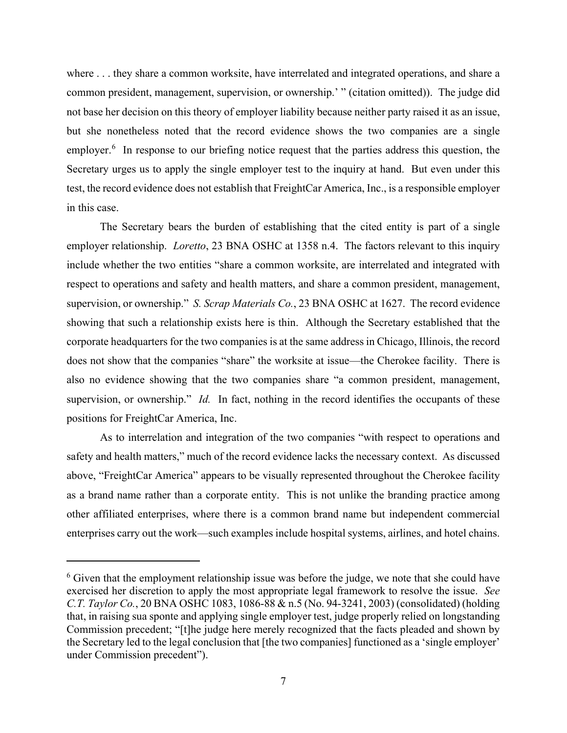where . . . they share a common worksite, have interrelated and integrated operations, and share a common president, management, supervision, or ownership.' " (citation omitted)). The judge did not base her decision on this theory of employer liability because neither party raised it as an issue, but she nonetheless noted that the record evidence shows the two companies are a single employer.<sup>[6](#page-6-0)</sup> In response to our briefing notice request that the parties address this question, the Secretary urges us to apply the single employer test to the inquiry at hand. But even under this test, the record evidence does not establish that FreightCar America, Inc., is a responsible employer in this case.

The Secretary bears the burden of establishing that the cited entity is part of a single employer relationship. *Loretto*, 23 BNA OSHC at 1358 n.4. The factors relevant to this inquiry include whether the two entities "share a common worksite, are interrelated and integrated with respect to operations and safety and health matters, and share a common president, management, supervision, or ownership." *S. Scrap Materials Co.*, 23 BNA OSHC at 1627. The record evidence showing that such a relationship exists here is thin. Although the Secretary established that the corporate headquarters for the two companies is at the same address in Chicago, Illinois, the record does not show that the companies "share" the worksite at issue—the Cherokee facility. There is also no evidence showing that the two companies share "a common president, management, supervision, or ownership." *Id.* In fact, nothing in the record identifies the occupants of these positions for FreightCar America, Inc.

As to interrelation and integration of the two companies "with respect to operations and safety and health matters," much of the record evidence lacks the necessary context. As discussed above, "FreightCar America" appears to be visually represented throughout the Cherokee facility as a brand name rather than a corporate entity. This is not unlike the branding practice among other affiliated enterprises, where there is a common brand name but independent commercial enterprises carry out the work—such examples include hospital systems, airlines, and hotel chains.

<span id="page-6-0"></span> $6$  Given that the employment relationship issue was before the judge, we note that she could have exercised her discretion to apply the most appropriate legal framework to resolve the issue. *See C.T. Taylor Co.*, 20 BNA OSHC 1083, 1086-88 & n.5 (No. 94-3241, 2003) (consolidated) (holding that, in raising sua sponte and applying single employer test, judge properly relied on longstanding Commission precedent; "[t]he judge here merely recognized that the facts pleaded and shown by the Secretary led to the legal conclusion that [the two companies] functioned as a 'single employer' under Commission precedent").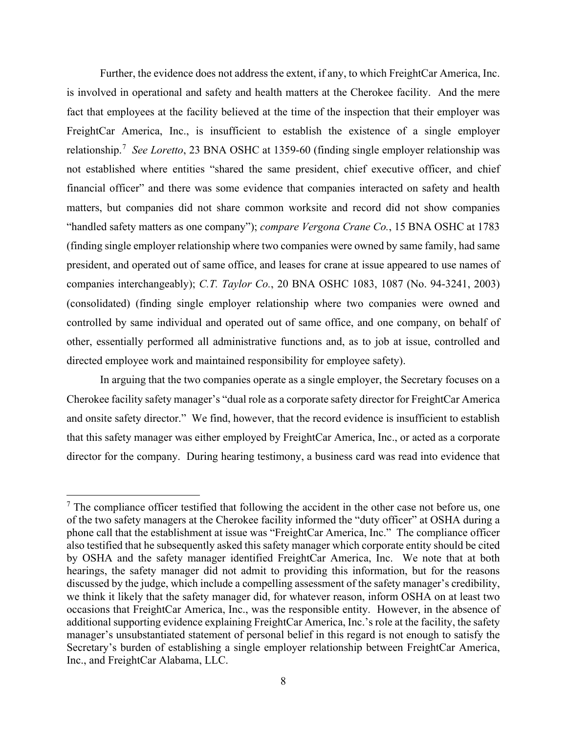Further, the evidence does not address the extent, if any, to which FreightCar America, Inc. is involved in operational and safety and health matters at the Cherokee facility. And the mere fact that employees at the facility believed at the time of the inspection that their employer was FreightCar America, Inc., is insufficient to establish the existence of a single employer relationship.<sup>[7](#page-7-0)</sup> See Loretto, 23 BNA OSHC at 1359-60 (finding single employer relationship was not established where entities "shared the same president, chief executive officer, and chief financial officer" and there was some evidence that companies interacted on safety and health matters, but companies did not share common worksite and record did not show companies "handled safety matters as one company"); *compare Vergona Crane Co.*, 15 BNA OSHC at 1783 (finding single employer relationship where two companies were owned by same family, had same president, and operated out of same office, and leases for crane at issue appeared to use names of companies interchangeably); *C.T. Taylor Co.*, 20 BNA OSHC 1083, 1087 (No. 94-3241, 2003) (consolidated) (finding single employer relationship where two companies were owned and controlled by same individual and operated out of same office, and one company, on behalf of other, essentially performed all administrative functions and, as to job at issue, controlled and directed employee work and maintained responsibility for employee safety).

In arguing that the two companies operate as a single employer, the Secretary focuses on a Cherokee facility safety manager's "dual role as a corporate safety director for FreightCar America and onsite safety director." We find, however, that the record evidence is insufficient to establish that this safety manager was either employed by FreightCar America, Inc., or acted as a corporate director for the company. During hearing testimony, a business card was read into evidence that

<span id="page-7-0"></span> $<sup>7</sup>$  The compliance officer testified that following the accident in the other case not before us, one</sup> of the two safety managers at the Cherokee facility informed the "duty officer" at OSHA during a phone call that the establishment at issue was "FreightCar America, Inc." The compliance officer also testified that he subsequently asked this safety manager which corporate entity should be cited by OSHA and the safety manager identified FreightCar America, Inc. We note that at both hearings, the safety manager did not admit to providing this information, but for the reasons discussed by the judge, which include a compelling assessment of the safety manager's credibility, we think it likely that the safety manager did, for whatever reason, inform OSHA on at least two occasions that FreightCar America, Inc., was the responsible entity. However, in the absence of additional supporting evidence explaining FreightCar America, Inc.'s role at the facility, the safety manager's unsubstantiated statement of personal belief in this regard is not enough to satisfy the Secretary's burden of establishing a single employer relationship between FreightCar America, Inc., and FreightCar Alabama, LLC.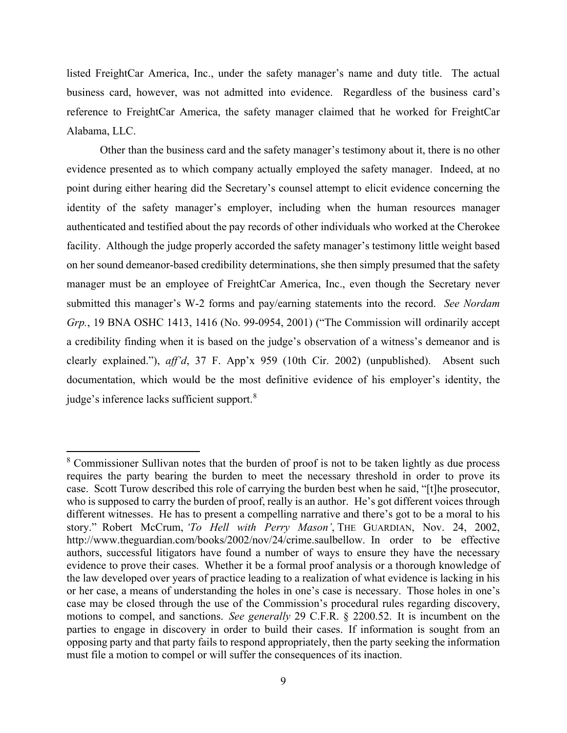listed FreightCar America, Inc., under the safety manager's name and duty title. The actual business card, however, was not admitted into evidence. Regardless of the business card's reference to FreightCar America, the safety manager claimed that he worked for FreightCar Alabama, LLC.

Other than the business card and the safety manager's testimony about it, there is no other evidence presented as to which company actually employed the safety manager. Indeed, at no point during either hearing did the Secretary's counsel attempt to elicit evidence concerning the identity of the safety manager's employer, including when the human resources manager authenticated and testified about the pay records of other individuals who worked at the Cherokee facility. Although the judge properly accorded the safety manager's testimony little weight based on her sound demeanor-based credibility determinations, she then simply presumed that the safety manager must be an employee of FreightCar America, Inc., even though the Secretary never submitted this manager's W-2 forms and pay/earning statements into the record. *See Nordam Grp.*, 19 BNA OSHC 1413, 1416 (No. 99-0954, 2001) ("The Commission will ordinarily accept a credibility finding when it is based on the judge's observation of a witness's demeanor and is clearly explained."), *aff'd*, 37 F. App'x 959 (10th Cir. 2002) (unpublished). Absent such documentation, which would be the most definitive evidence of his employer's identity, the judge's inference lacks sufficient support.<sup>[8](#page-8-0)</sup>

<span id="page-8-0"></span><sup>&</sup>lt;sup>8</sup> Commissioner Sullivan notes that the burden of proof is not to be taken lightly as due process requires the party bearing the burden to meet the necessary threshold in order to prove its case. Scott Turow described this role of carrying the burden best when he said, "[t]he prosecutor, who is supposed to carry the burden of proof, really is an author. He's got different voices through different witnesses. He has to present a compelling narrative and there's got to be a moral to his story." Robert McCrum, *'To Hell with Perry Mason'*, THE GUARDIAN, Nov. 24, 2002, http://www.theguardian.com/books/2002/nov/24/crime.saulbellow. In order to be effective authors, successful litigators have found a number of ways to ensure they have the necessary evidence to prove their cases. Whether it be a formal proof analysis or a thorough knowledge of the law developed over years of practice leading to a realization of what evidence is lacking in his or her case, a means of understanding the holes in one's case is necessary. Those holes in one's case may be closed through the use of the Commission's procedural rules regarding discovery, motions to compel, and sanctions. *See generally* 29 C.F.R. § 2200.52. It is incumbent on the parties to engage in discovery in order to build their cases. If information is sought from an opposing party and that party fails to respond appropriately, then the party seeking the information must file a motion to compel or will suffer the consequences of its inaction.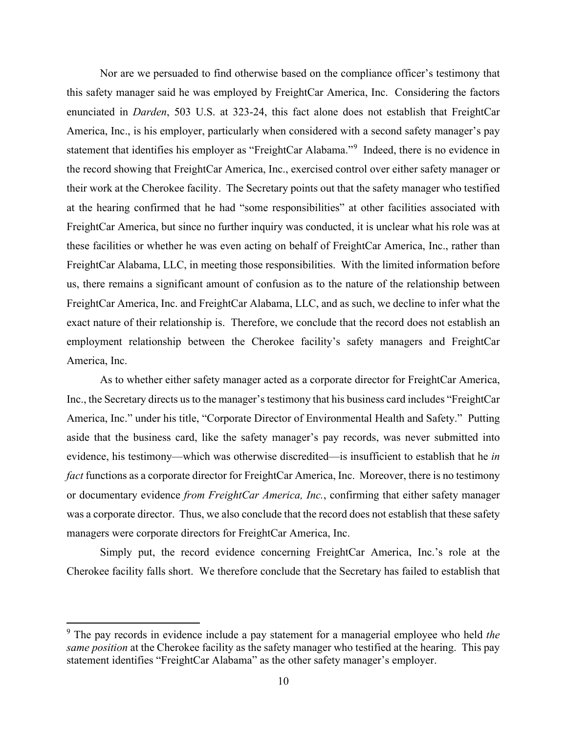Nor are we persuaded to find otherwise based on the compliance officer's testimony that this safety manager said he was employed by FreightCar America, Inc. Considering the factors enunciated in *Darden*, 503 U.S. at 323-24, this fact alone does not establish that FreightCar America, Inc., is his employer, particularly when considered with a second safety manager's pay statement that identifies his employer as "FreightCar Alabama."<sup>[9](#page-9-0)</sup> Indeed, there is no evidence in the record showing that FreightCar America, Inc., exercised control over either safety manager or their work at the Cherokee facility. The Secretary points out that the safety manager who testified at the hearing confirmed that he had "some responsibilities" at other facilities associated with FreightCar America, but since no further inquiry was conducted, it is unclear what his role was at these facilities or whether he was even acting on behalf of FreightCar America, Inc., rather than FreightCar Alabama, LLC, in meeting those responsibilities. With the limited information before us, there remains a significant amount of confusion as to the nature of the relationship between FreightCar America, Inc. and FreightCar Alabama, LLC, and as such, we decline to infer what the exact nature of their relationship is. Therefore, we conclude that the record does not establish an employment relationship between the Cherokee facility's safety managers and FreightCar America, Inc.

As to whether either safety manager acted as a corporate director for FreightCar America, Inc., the Secretary directs us to the manager's testimony that his business card includes "FreightCar" America, Inc." under his title, "Corporate Director of Environmental Health and Safety." Putting aside that the business card, like the safety manager's pay records, was never submitted into evidence, his testimony—which was otherwise discredited—is insufficient to establish that he *in fact* functions as a corporate director for FreightCar America, Inc. Moreover, there is no testimony or documentary evidence *from FreightCar America, Inc.*, confirming that either safety manager was a corporate director. Thus, we also conclude that the record does not establish that these safety managers were corporate directors for FreightCar America, Inc.

Simply put, the record evidence concerning FreightCar America, Inc.'s role at the Cherokee facility falls short.We therefore conclude that the Secretary has failed to establish that

<span id="page-9-0"></span><sup>9</sup> The pay records in evidence include a pay statement for a managerial employee who held *the same position* at the Cherokee facility as the safety manager who testified at the hearing. This pay statement identifies "FreightCar Alabama" as the other safety manager's employer.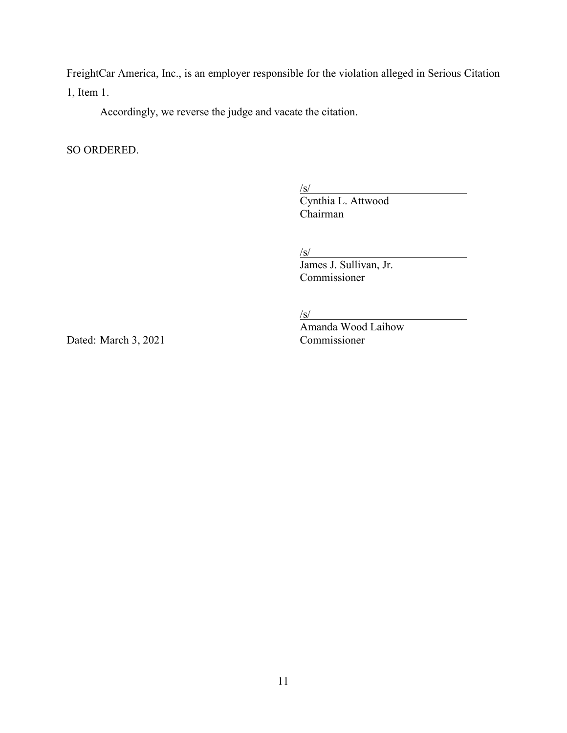FreightCar America, Inc., is an employer responsible for the violation alleged in Serious Citation 1, Item 1.

Accordingly, we reverse the judge and vacate the citation.

SO ORDERED.

/s/

 Cynthia L. Attwood Chairman

 $\sqrt{s/2}$ 

James J. Sullivan, Jr. Commissioner

 $\sqrt{s/2}$ 

 $\frac{f(S)}{\text{Amanda Wood Laihow}}$ <br>Commissioner

Dated: March 3, 2021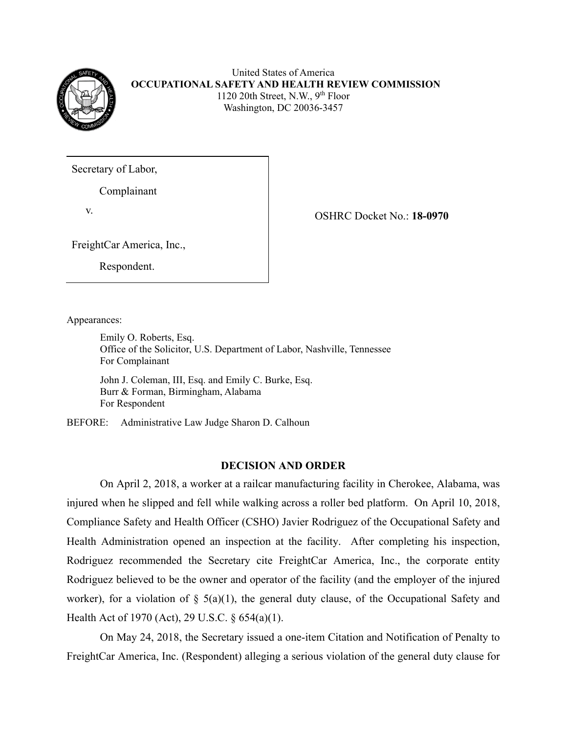

United States of America **OCCUPATIONAL SAFETY AND HEALTH REVIEW COMMISSION** 1120 20th Street, N.W.,  $9<sup>th</sup>$  Floor Washington, DC 20036-3457

Secretary of Labor,

Complainant

v. OSHRC Docket No.: **18-0970**

FreightCar America, Inc.,

Respondent.

Appearances:

Emily O. Roberts, Esq. Office of the Solicitor, U.S. Department of Labor, Nashville, Tennessee For Complainant

John J. Coleman, III, Esq. and Emily C. Burke, Esq. Burr & Forman, Birmingham, Alabama For Respondent

BEFORE: Administrative Law Judge Sharon D. Calhoun

# **DECISION AND ORDER**

On April 2, 2018, a worker at a railcar manufacturing facility in Cherokee, Alabama, was injured when he slipped and fell while walking across a roller bed platform. On April 10, 2018, Compliance Safety and Health Officer (CSHO) Javier Rodriguez of the Occupational Safety and Health Administration opened an inspection at the facility. After completing his inspection, Rodriguez recommended the Secretary cite FreightCar America, Inc., the corporate entity Rodriguez believed to be the owner and operator of the facility (and the employer of the injured worker), for a violation of  $\S$  5(a)(1), the general duty clause, of the Occupational Safety and Health Act of 1970 (Act), 29 U.S.C. § 654(a)(1).

On May 24, 2018, the Secretary issued a one-item Citation and Notification of Penalty to FreightCar America, Inc. (Respondent) alleging a serious violation of the general duty clause for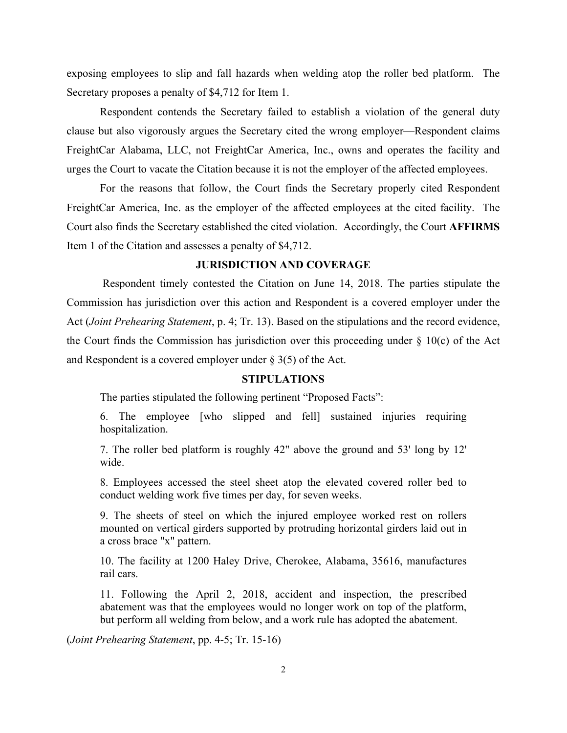exposing employees to slip and fall hazards when welding atop the roller bed platform. The Secretary proposes a penalty of \$4,712 for Item 1.

Respondent contends the Secretary failed to establish a violation of the general duty clause but also vigorously argues the Secretary cited the wrong employer—Respondent claims FreightCar Alabama, LLC, not FreightCar America, Inc., owns and operates the facility and urges the Court to vacate the Citation because it is not the employer of the affected employees.

For the reasons that follow, the Court finds the Secretary properly cited Respondent FreightCar America, Inc. as the employer of the affected employees at the cited facility. The Court also finds the Secretary established the cited violation. Accordingly, the Court **AFFIRMS** Item 1 of the Citation and assesses a penalty of \$4,712.

# **JURISDICTION AND COVERAGE**

 Respondent timely contested the Citation on June 14, 2018. The parties stipulate the Commission has jurisdiction over this action and Respondent is a covered employer under the Act (*Joint Prehearing Statement*, p. 4; Tr. 13). Based on the stipulations and the record evidence, the Court finds the Commission has jurisdiction over this proceeding under  $\S$  10(c) of the Act and Respondent is a covered employer under  $\S 3(5)$  of the Act.

### **STIPULATIONS**

The parties stipulated the following pertinent "Proposed Facts":

6. The employee [who slipped and fell] sustained injuries requiring hospitalization.

7. The roller bed platform is roughly 42" above the ground and 53' long by 12' wide.

8. Employees accessed the steel sheet atop the elevated covered roller bed to conduct welding work five times per day, for seven weeks.

9. The sheets of steel on which the injured employee worked rest on rollers mounted on vertical girders supported by protruding horizontal girders laid out in a cross brace "x" pattern.

10. The facility at 1200 Haley Drive, Cherokee, Alabama, 35616, manufactures rail cars.

11. Following the April 2, 2018, accident and inspection, the prescribed abatement was that the employees would no longer work on top of the platform, but perform all welding from below, and a work rule has adopted the abatement.

(*Joint Prehearing Statement*, pp. 4-5; Tr. 15-16)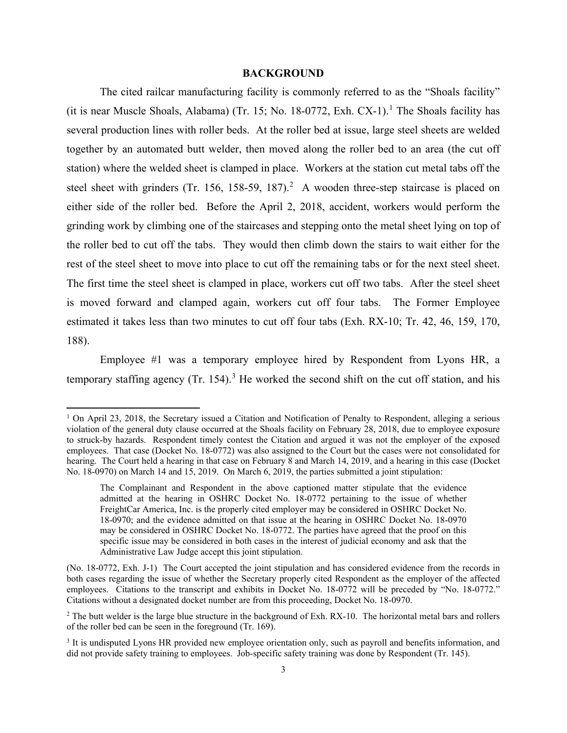### **BACKGROUND**

The cited railcar manufacturing facility is commonly referred to as the "Shoals facility" (it is near Muscle Shoals, Alabama) (Tr. [1](#page-13-0)5; No. 18-0772, Exh. CX-1).<sup>1</sup> The Shoals facility has several production lines with roller beds. At the roller bed at issue, large steel sheets are welded together by an automated butt welder, then moved along the roller bed to an area (the cut off station) where the welded sheet is clamped in place. Workers at the station cut metal tabs off the steel sheet with grinders (Tr. 156, 158-59, 187).<sup>[2](#page-13-1)</sup> A wooden three-step staircase is placed on either side of the roller bed. Before the April 2, 2018, accident, workers would perform the grinding work by climbing one of the staircases and stepping onto the metal sheet lying on top of the roller bed to cut off the tabs. They would then climb down the stairs to wait either for the rest of the steel sheet to move into place to cut off the remaining tabs or for the next steel sheet. The first time the steel sheet is clamped in place, workers cut off two tabs. After the steel sheet is moved forward and clamped again, workers cut off four tabs. The Former Employee estimated it takes less than two minutes to cut off four tabs (Exh. RX-10; Tr. 42, 46, 159, 170, 188).

Employee #1 was a temporary employee hired by Respondent from Lyons HR, a temporary staffing agency  $(Tr. 154)$ .<sup>[3](#page-13-2)</sup> He worked the second shift on the cut off station, and his

<span id="page-13-0"></span><sup>&</sup>lt;sup>1</sup> On April 23, 2018, the Secretary issued a Citation and Notification of Penalty to Respondent, alleging a serious violation of the general duty clause occurred at the Shoals facility on February 28, 2018, due to employee exposure to struck-by hazards. Respondent timely contest the Citation and argued it was not the employer of the exposed employees. That case (Docket No. 18-0772) was also assigned to the Court but the cases were not consolidated for hearing. The Court held a hearing in that case on February 8 and March 14, 2019, and a hearing in this case (Docket No. 18-0970) on March 14 and 15, 2019. On March 6, 2019, the parties submitted a joint stipulation:

The Complainant and Respondent in the above captioned matter stipulate that the evidence admitted at the hearing in OSHRC Docket No. 18-0772 pertaining to the issue of whether FreightCar America, Inc. is the properly cited employer may be considered in OSHRC Docket No. 18-0970; and the evidence admitted on that issue at the hearing in OSHRC Docket No. 18-0970 may be considered in OSHRC Docket No. 18-0772. The parties have agreed that the proof on this specific issue may be considered in both cases in the interest of judicial economy and ask that the Administrative Law Judge accept this joint stipulation.

<sup>(</sup>No. 18-0772, Exh. J-1) The Court accepted the joint stipulation and has considered evidence from the records in both cases regarding the issue of whether the Secretary properly cited Respondent as the employer of the affected employees. Citations to the transcript and exhibits in Docket No. 18-0772 will be preceded by "No. 18-0772." Citations without a designated docket number are from this proceeding, Docket No. 18-0970.

<span id="page-13-1"></span><sup>&</sup>lt;sup>2</sup> The butt welder is the large blue structure in the background of Exh. RX-10. The horizontal metal bars and rollers of the roller bed can be seen in the foreground (Tr. 169).

<span id="page-13-2"></span><sup>&</sup>lt;sup>3</sup> It is undisputed Lyons HR provided new employee orientation only, such as payroll and benefits information, and did not provide safety training to employees. Job-specific safety training was done by Respondent (Tr. 145).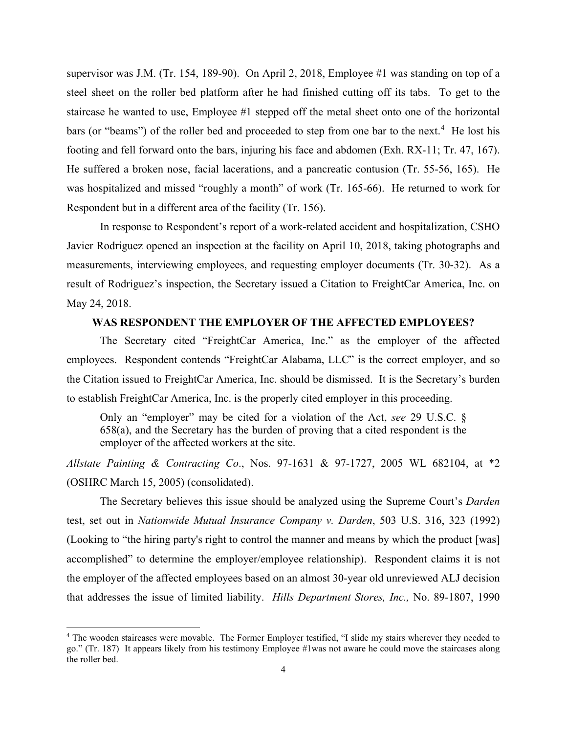supervisor was J.M. (Tr. 154, 189-90). On April 2, 2018, Employee #1 was standing on top of a steel sheet on the roller bed platform after he had finished cutting off its tabs. To get to the staircase he wanted to use, Employee #1 stepped off the metal sheet onto one of the horizontal bars (or "beams") of the roller bed and proceeded to step from one bar to the next.<sup>[4](#page-14-0)</sup> He lost his footing and fell forward onto the bars, injuring his face and abdomen (Exh. RX-11; Tr. 47, 167). He suffered a broken nose, facial lacerations, and a pancreatic contusion (Tr. 55-56, 165). He was hospitalized and missed "roughly a month" of work (Tr. 165-66). He returned to work for Respondent but in a different area of the facility (Tr. 156).

In response to Respondent's report of a work-related accident and hospitalization, CSHO Javier Rodriguez opened an inspection at the facility on April 10, 2018, taking photographs and measurements, interviewing employees, and requesting employer documents (Tr. 30-32). As a result of Rodriguez's inspection, the Secretary issued a Citation to FreightCar America, Inc. on May 24, 2018.

# **WAS RESPONDENT THE EMPLOYER OF THE AFFECTED EMPLOYEES?**

The Secretary cited "FreightCar America, Inc." as the employer of the affected employees. Respondent contends "FreightCar Alabama, LLC" is the correct employer, and so the Citation issued to FreightCar America, Inc. should be dismissed. It is the Secretary's burden to establish FreightCar America, Inc. is the properly cited employer in this proceeding.

Only an "employer" may be cited for a violation of the Act, *see* 29 U.S.C. § 658(a), and the Secretary has the burden of proving that a cited respondent is the employer of the affected workers at the site.

*Allstate Painting & Contracting Co*., Nos. 97-1631 & 97-1727, 2005 WL 682104, at \*2 (OSHRC March 15, 2005) (consolidated).

The Secretary believes this issue should be analyzed using the Supreme Court's *Darden* test, set out in *Nationwide Mutual Insurance Company v. Darden*, 503 U.S. 316, 323 (1992) (Looking to "the hiring party's right to control the manner and means by which the product [was] accomplished" to determine the employer/employee relationship). Respondent claims it is not the employer of the affected employees based on an almost 30-year old unreviewed ALJ decision that addresses the issue of limited liability. *Hills Department Stores, Inc.,* No. 89-1807, 1990

<span id="page-14-0"></span><sup>4</sup> The wooden staircases were movable. The Former Employer testified, "I slide my stairs wherever they needed to go." (Tr. 187) It appears likely from his testimony Employee #1was not aware he could move the staircases along the roller bed.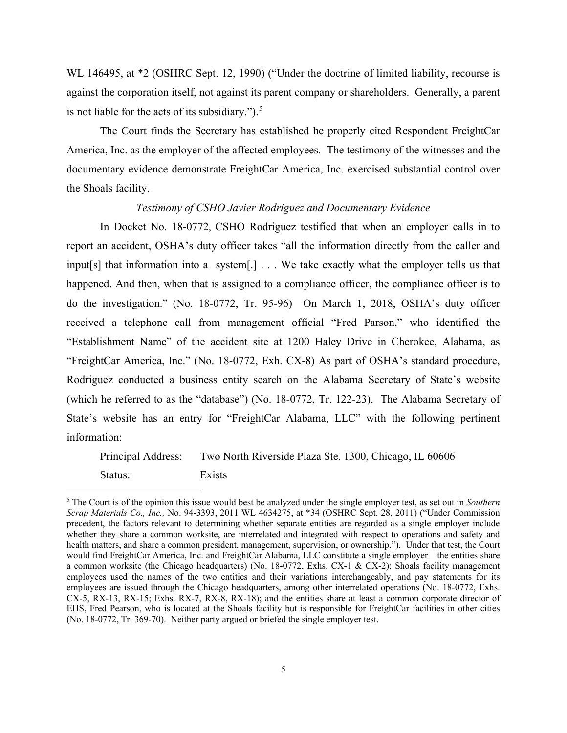WL 146495, at  $*2$  (OSHRC Sept. 12, 1990) ("Under the doctrine of limited liability, recourse is against the corporation itself, not against its parent company or shareholders. Generally, a parent is not liable for the acts of its subsidiary.").<sup>[5](#page-15-0)</sup>

 The Court finds the Secretary has established he properly cited Respondent FreightCar America, Inc. as the employer of the affected employees. The testimony of the witnesses and the documentary evidence demonstrate FreightCar America, Inc. exercised substantial control over the Shoals facility.

# *Testimony of CSHO Javier Rodriguez and Documentary Evidence*

In Docket No. 18-0772, CSHO Rodriguez testified that when an employer calls in to report an accident, OSHA's duty officer takes "all the information directly from the caller and input[s] that information into a system[.] . . . We take exactly what the employer tells us that happened. And then, when that is assigned to a compliance officer, the compliance officer is to do the investigation." (No. 18-0772, Tr. 95-96) On March 1, 2018, OSHA's duty officer received a telephone call from management official "Fred Parson," who identified the "Establishment Name" of the accident site at 1200 Haley Drive in Cherokee, Alabama, as "FreightCar America, Inc." (No. 18-0772, Exh. CX-8) As part of OSHA's standard procedure, Rodriguez conducted a business entity search on the Alabama Secretary of State's website (which he referred to as the "database") (No. 18-0772, Tr. 122-23). The Alabama Secretary of State's website has an entry for "FreightCar Alabama, LLC" with the following pertinent information:

Principal Address: Two North Riverside Plaza Ste. 1300, Chicago, IL 60606 Status: Exists

<span id="page-15-0"></span><sup>5</sup> The Court is of the opinion this issue would best be analyzed under the single employer test, as set out in *Southern Scrap Materials Co., Inc.,* No. 94-3393, 2011 WL 4634275, at \*34 (OSHRC Sept. 28, 2011) ("Under Commission precedent, the factors relevant to determining whether separate entities are regarded as a single employer include whether they share a common worksite, are interrelated and integrated with respect to operations and safety and health matters, and share a common president, management, supervision, or ownership."). Under that test, the Court would find FreightCar America, Inc. and FreightCar Alabama, LLC constitute a single employer—the entities share a common worksite (the Chicago headquarters) (No. 18-0772, Exhs. CX-1 & CX-2); Shoals facility management employees used the names of the two entities and their variations interchangeably, and pay statements for its employees are issued through the Chicago headquarters, among other interrelated operations (No. 18-0772, Exhs. CX-5, RX-13, RX-15; Exhs. RX-7, RX-8, RX-18); and the entities share at least a common corporate director of EHS, Fred Pearson, who is located at the Shoals facility but is responsible for FreightCar facilities in other cities (No. 18-0772, Tr. 369-70). Neither party argued or briefed the single employer test.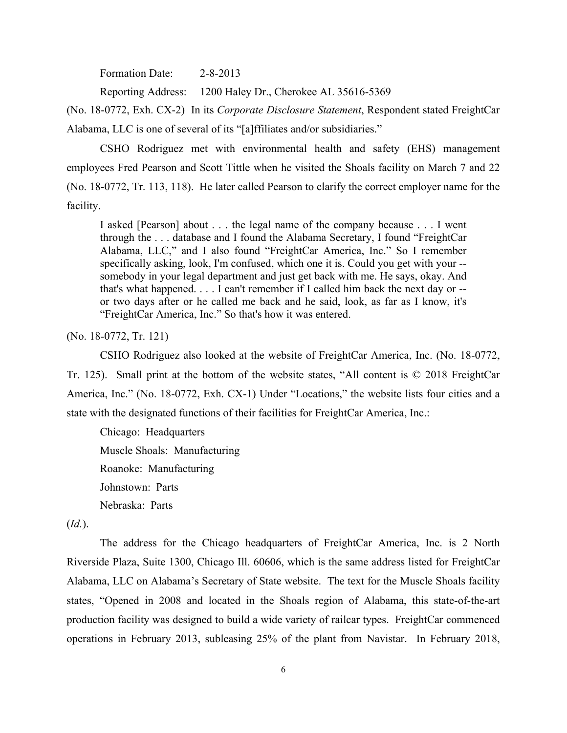Formation Date: 2-8-2013

Reporting Address: 1200 Haley Dr., Cherokee AL 35616-5369

(No. 18-0772, Exh. CX-2) In its *Corporate Disclosure Statement*, Respondent stated FreightCar Alabama, LLC is one of several of its "[a]ffiliates and/or subsidiaries."

 CSHO Rodriguez met with environmental health and safety (EHS) management employees Fred Pearson and Scott Tittle when he visited the Shoals facility on March 7 and 22 (No. 18-0772, Tr. 113, 118). He later called Pearson to clarify the correct employer name for the facility.

I asked [Pearson] about . . . the legal name of the company because . . . I went through the . . . database and I found the Alabama Secretary, I found "FreightCar Alabama, LLC," and I also found "FreightCar America, Inc." So I remember specifically asking, look, I'm confused, which one it is. Could you get with your - somebody in your legal department and just get back with me. He says, okay. And that's what happened. . . . I can't remember if I called him back the next day or - or two days after or he called me back and he said, look, as far as I know, it's "FreightCar America, Inc." So that's how it was entered.

(No. 18-0772, Tr. 121)

CSHO Rodriguez also looked at the website of FreightCar America, Inc. (No. 18-0772,

Tr. 125). Small print at the bottom of the website states, "All content is © 2018 FreightCar America, Inc." (No. 18-0772, Exh. CX-1) Under "Locations," the website lists four cities and a state with the designated functions of their facilities for FreightCar America, Inc.:

Chicago: Headquarters Muscle Shoals: Manufacturing Roanoke: Manufacturing Johnstown: Parts Nebraska: Parts

(*Id.*).

The address for the Chicago headquarters of FreightCar America, Inc. is 2 North Riverside Plaza, Suite 1300, Chicago Ill. 60606, which is the same address listed for FreightCar Alabama, LLC on Alabama's Secretary of State website. The text for the Muscle Shoals facility states, "Opened in 2008 and located in the Shoals region of Alabama, this state-of-the-art production facility was designed to build a wide variety of railcar types. FreightCar commenced operations in February 2013, subleasing 25% of the plant from Navistar. In February 2018,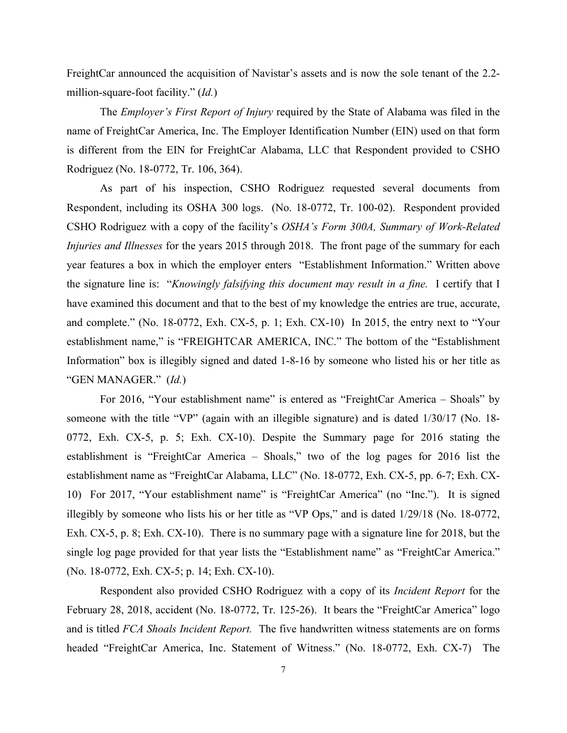FreightCar announced the acquisition of Navistar's assets and is now the sole tenant of the 2.2 million-square-foot facility." (*Id.*)

The *Employer's First Report of Injury* required by the State of Alabama was filed in the name of FreightCar America, Inc. The Employer Identification Number (EIN) used on that form is different from the EIN for FreightCar Alabama, LLC that Respondent provided to CSHO Rodriguez (No. 18-0772, Tr. 106, 364).

As part of his inspection, CSHO Rodriguez requested several documents from Respondent, including its OSHA 300 logs. (No. 18-0772, Tr. 100-02). Respondent provided CSHO Rodriguez with a copy of the facility's *OSHA's Form 300A, Summary of Work-Related Injuries and Illnesses* for the years 2015 through 2018. The front page of the summary for each year features a box in which the employer enters "Establishment Information." Written above the signature line is: "*Knowingly falsifying this document may result in a fine.* I certify that I have examined this document and that to the best of my knowledge the entries are true, accurate, and complete." (No. 18-0772, Exh. CX-5, p. 1; Exh. CX-10) In 2015, the entry next to "Your establishment name," is "FREIGHTCAR AMERICA, INC." The bottom of the "Establishment Information" box is illegibly signed and dated 1-8-16 by someone who listed his or her title as "GEN MANAGER." (*Id.*)

For 2016, "Your establishment name" is entered as "FreightCar America – Shoals" by someone with the title "VP" (again with an illegible signature) and is dated 1/30/17 (No. 18- 0772, Exh. CX-5, p. 5; Exh. CX-10). Despite the Summary page for 2016 stating the establishment is "FreightCar America – Shoals," two of the log pages for 2016 list the establishment name as "FreightCar Alabama, LLC" (No. 18-0772, Exh. CX-5, pp. 6-7; Exh. CX-10) For 2017, "Your establishment name" is "FreightCar America" (no "Inc."). It is signed illegibly by someone who lists his or her title as "VP Ops," and is dated 1/29/18 (No. 18-0772, Exh. CX-5, p. 8; Exh. CX-10). There is no summary page with a signature line for 2018, but the single log page provided for that year lists the "Establishment name" as "FreightCar America." (No. 18-0772, Exh. CX-5; p. 14; Exh. CX-10).

 Respondent also provided CSHO Rodriguez with a copy of its *Incident Report* for the February 28, 2018, accident (No. 18-0772, Tr. 125-26). It bears the "FreightCar America" logo and is titled *FCA Shoals Incident Report.* The five handwritten witness statements are on forms headed "FreightCar America, Inc. Statement of Witness." (No. 18-0772, Exh. CX-7) The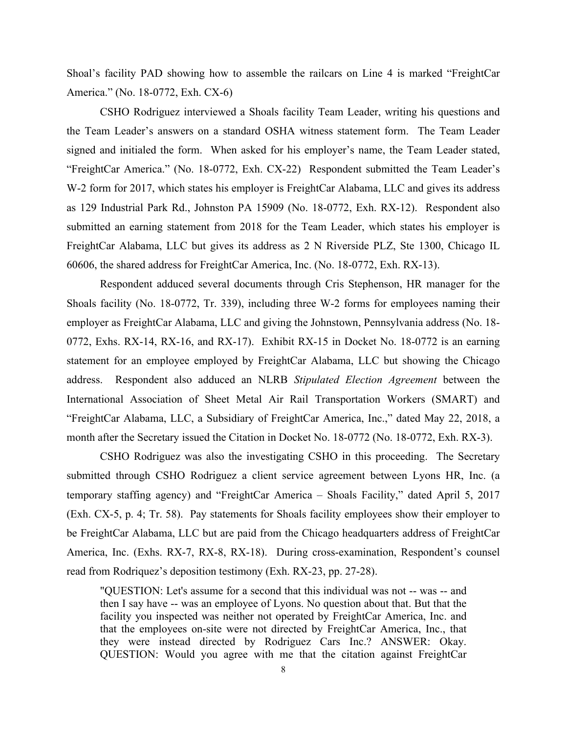Shoal's facility PAD showing how to assemble the railcars on Line 4 is marked "FreightCar America." (No. 18-0772, Exh. CX-6)

CSHO Rodriguez interviewed a Shoals facility Team Leader, writing his questions and the Team Leader's answers on a standard OSHA witness statement form. The Team Leader signed and initialed the form. When asked for his employer's name, the Team Leader stated, "FreightCar America." (No. 18-0772, Exh. CX-22) Respondent submitted the Team Leader's W-2 form for 2017, which states his employer is FreightCar Alabama, LLC and gives its address as 129 Industrial Park Rd., Johnston PA 15909 (No. 18-0772, Exh. RX-12). Respondent also submitted an earning statement from 2018 for the Team Leader, which states his employer is FreightCar Alabama, LLC but gives its address as 2 N Riverside PLZ, Ste 1300, Chicago IL 60606, the shared address for FreightCar America, Inc. (No. 18-0772, Exh. RX-13).

Respondent adduced several documents through Cris Stephenson, HR manager for the Shoals facility (No. 18-0772, Tr. 339), including three W-2 forms for employees naming their employer as FreightCar Alabama, LLC and giving the Johnstown, Pennsylvania address (No. 18- 0772, Exhs. RX-14, RX-16, and RX-17). Exhibit RX-15 in Docket No. 18-0772 is an earning statement for an employee employed by FreightCar Alabama, LLC but showing the Chicago address. Respondent also adduced an NLRB *Stipulated Election Agreement* between the International Association of Sheet Metal Air Rail Transportation Workers (SMART) and "FreightCar Alabama, LLC, a Subsidiary of FreightCar America, Inc.," dated May 22, 2018, a month after the Secretary issued the Citation in Docket No. 18-0772 (No. 18-0772, Exh. RX-3).

CSHO Rodriguez was also the investigating CSHO in this proceeding. The Secretary submitted through CSHO Rodriguez a client service agreement between Lyons HR, Inc. (a temporary staffing agency) and "FreightCar America – Shoals Facility," dated April 5, 2017 (Exh. CX-5, p. 4; Tr. 58). Pay statements for Shoals facility employees show their employer to be FreightCar Alabama, LLC but are paid from the Chicago headquarters address of FreightCar America, Inc. (Exhs. RX-7, RX-8, RX-18). During cross-examination, Respondent's counsel read from Rodriquez's deposition testimony (Exh. RX-23, pp. 27-28).

"QUESTION: Let's assume for a second that this individual was not -- was -- and then I say have -- was an employee of Lyons. No question about that. But that the facility you inspected was neither not operated by FreightCar America, Inc. and that the employees on-site were not directed by FreightCar America, Inc., that they were instead directed by Rodriguez Cars Inc.? ANSWER: Okay. QUESTION: Would you agree with me that the citation against FreightCar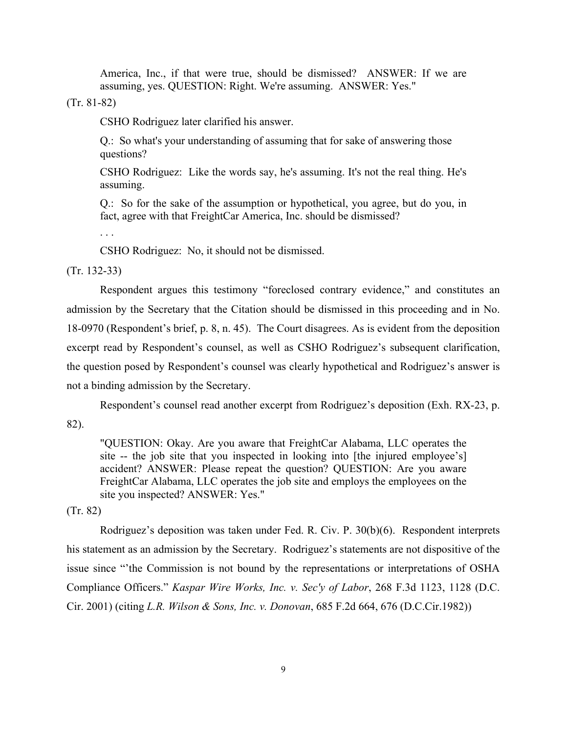America, Inc., if that were true, should be dismissed? ANSWER: If we are assuming, yes. QUESTION: Right. We're assuming. ANSWER: Yes."

(Tr. 81-82)

CSHO Rodriguez later clarified his answer.

Q.: So what's your understanding of assuming that for sake of answering those questions?

CSHO Rodriguez: Like the words say, he's assuming. It's not the real thing. He's assuming.

Q.: So for the sake of the assumption or hypothetical, you agree, but do you, in fact, agree with that FreightCar America, Inc. should be dismissed?

. . .

CSHO Rodriguez: No, it should not be dismissed.

(Tr. 132-33)

Respondent argues this testimony "foreclosed contrary evidence," and constitutes an admission by the Secretary that the Citation should be dismissed in this proceeding and in No. 18-0970 (Respondent's brief, p. 8, n. 45). The Court disagrees. As is evident from the deposition excerpt read by Respondent's counsel, as well as CSHO Rodriguez's subsequent clarification, the question posed by Respondent's counsel was clearly hypothetical and Rodriguez's answer is not a binding admission by the Secretary.

Respondent's counsel read another excerpt from Rodriguez's deposition (Exh. RX-23, p.

82).

"QUESTION: Okay. Are you aware that FreightCar Alabama, LLC operates the site -- the job site that you inspected in looking into [the injured employee's] accident? ANSWER: Please repeat the question? QUESTION: Are you aware FreightCar Alabama, LLC operates the job site and employs the employees on the site you inspected? ANSWER: Yes."

# (Tr. 82)

Rodriguez's deposition was taken under Fed. R. Civ. P. 30(b)(6). Respondent interprets his statement as an admission by the Secretary. Rodriguez's statements are not dispositive of the issue since "'the Commission is not bound by the representations or interpretations of OSHA Compliance Officers." *Kaspar Wire Works, Inc. v. Sec'y of Labor*, 268 F.3d 1123, 1128 (D.C. Cir. 2001) (citing *L.R. Wilson & Sons, Inc. v. Donovan*, 685 F.2d 664, 676 (D.C.Cir.1982))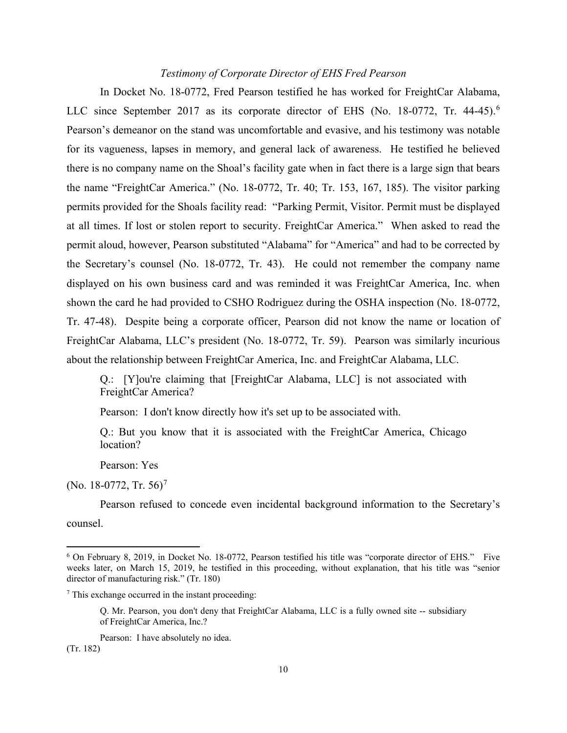# *Testimony of Corporate Director of EHS Fred Pearson*

In Docket No. 18-0772, Fred Pearson testified he has worked for FreightCar Alabama, LLC since September 2017 as its corporate director of EHS (No. 18-0772, Tr. 44-45).<sup>[6](#page-20-0)</sup> Pearson's demeanor on the stand was uncomfortable and evasive, and his testimony was notable for its vagueness, lapses in memory, and general lack of awareness. He testified he believed there is no company name on the Shoal's facility gate when in fact there is a large sign that bears the name "FreightCar America." (No. 18-0772, Tr. 40; Tr. 153, 167, 185). The visitor parking permits provided for the Shoals facility read: "Parking Permit, Visitor. Permit must be displayed at all times. If lost or stolen report to security. FreightCar America." When asked to read the permit aloud, however, Pearson substituted "Alabama" for "America" and had to be corrected by the Secretary's counsel (No. 18-0772, Tr. 43). He could not remember the company name displayed on his own business card and was reminded it was FreightCar America, Inc. when shown the card he had provided to CSHO Rodriguez during the OSHA inspection (No. 18-0772, Tr. 47-48). Despite being a corporate officer, Pearson did not know the name or location of FreightCar Alabama, LLC's president (No. 18-0772, Tr. 59). Pearson was similarly incurious about the relationship between FreightCar America, Inc. and FreightCar Alabama, LLC.

Q.: [Y]ou're claiming that [FreightCar Alabama, LLC] is not associated with FreightCar America?

Pearson: I don't know directly how it's set up to be associated with.

Q.: But you know that it is associated with the FreightCar America, Chicago location?

Pearson: Yes

(No. 18-0[7](#page-20-1)72, Tr. 56)<sup>7</sup>

Pearson refused to concede even incidental background information to the Secretary's counsel.

<span id="page-20-0"></span><sup>6</sup> On February 8, 2019, in Docket No. 18-0772, Pearson testified his title was "corporate director of EHS." Five weeks later, on March 15, 2019, he testified in this proceeding, without explanation, that his title was "senior director of manufacturing risk." (Tr. 180)

<span id="page-20-1"></span> $<sup>7</sup>$  This exchange occurred in the instant proceeding:</sup>

Q. Mr. Pearson, you don't deny that FreightCar Alabama, LLC is a fully owned site -- subsidiary of FreightCar America, Inc.?

Pearson: I have absolutely no idea. (Tr. 182)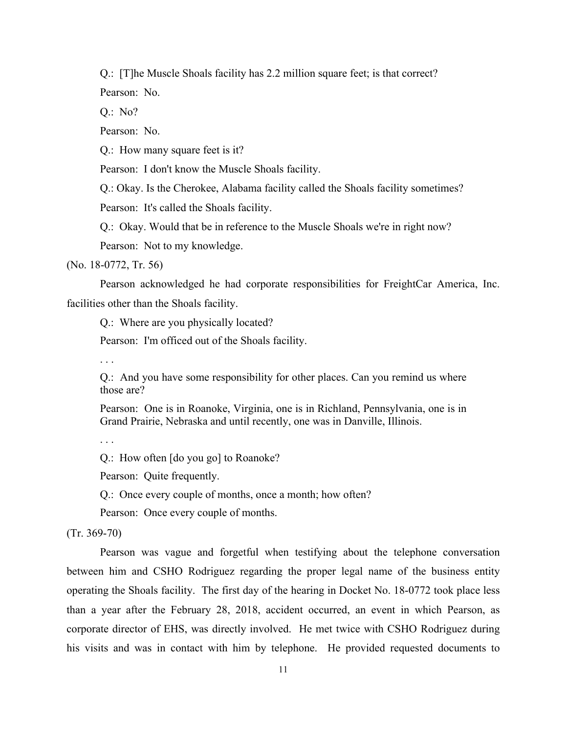Q.: [T]he Muscle Shoals facility has 2.2 million square feet; is that correct? Pearson: No.

Q.: No?

Pearson: No.

Q.: How many square feet is it?

Pearson: I don't know the Muscle Shoals facility.

Q.: Okay. Is the Cherokee, Alabama facility called the Shoals facility sometimes?

Pearson: It's called the Shoals facility.

Q.: Okay. Would that be in reference to the Muscle Shoals we're in right now?

Pearson: Not to my knowledge.

(No. 18-0772, Tr. 56)

Pearson acknowledged he had corporate responsibilities for FreightCar America, Inc. facilities other than the Shoals facility.

Q.: Where are you physically located?

Pearson: I'm officed out of the Shoals facility.

. . .

Q.: And you have some responsibility for other places. Can you remind us where those are?

Pearson: One is in Roanoke, Virginia, one is in Richland, Pennsylvania, one is in Grand Prairie, Nebraska and until recently, one was in Danville, Illinois.

. . .

Q.: How often [do you go] to Roanoke?

Pearson: Quite frequently.

Q.: Once every couple of months, once a month; how often?

Pearson: Once every couple of months.

(Tr. 369-70)

Pearson was vague and forgetful when testifying about the telephone conversation between him and CSHO Rodriguez regarding the proper legal name of the business entity operating the Shoals facility. The first day of the hearing in Docket No. 18-0772 took place less than a year after the February 28, 2018, accident occurred, an event in which Pearson, as corporate director of EHS, was directly involved. He met twice with CSHO Rodriguez during his visits and was in contact with him by telephone. He provided requested documents to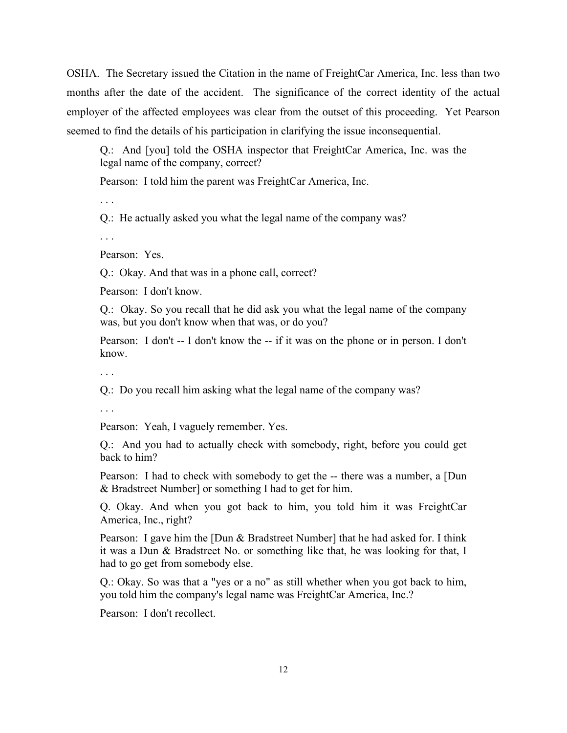OSHA. The Secretary issued the Citation in the name of FreightCar America, Inc. less than two months after the date of the accident. The significance of the correct identity of the actual employer of the affected employees was clear from the outset of this proceeding. Yet Pearson seemed to find the details of his participation in clarifying the issue inconsequential.

Q.: And [you] told the OSHA inspector that FreightCar America, Inc. was the legal name of the company, correct?

Pearson: I told him the parent was FreightCar America, Inc.

. . .

Q.: He actually asked you what the legal name of the company was?

. . .

Pearson: Yes.

Q.: Okay. And that was in a phone call, correct?

Pearson: I don't know.

Q.: Okay. So you recall that he did ask you what the legal name of the company was, but you don't know when that was, or do you?

Pearson: I don't -- I don't know the -- if it was on the phone or in person. I don't know.

. . .

Q.: Do you recall him asking what the legal name of the company was?

. . .

Pearson: Yeah, I vaguely remember. Yes.

Q.: And you had to actually check with somebody, right, before you could get back to him?

Pearson: I had to check with somebody to get the -- there was a number, a [Dun & Bradstreet Number] or something I had to get for him.

Q. Okay. And when you got back to him, you told him it was FreightCar America, Inc., right?

Pearson: I gave him the [Dun & Bradstreet Number] that he had asked for. I think it was a Dun & Bradstreet No. or something like that, he was looking for that, I had to go get from somebody else.

Q.: Okay. So was that a "yes or a no" as still whether when you got back to him, you told him the company's legal name was FreightCar America, Inc.?

Pearson: I don't recollect.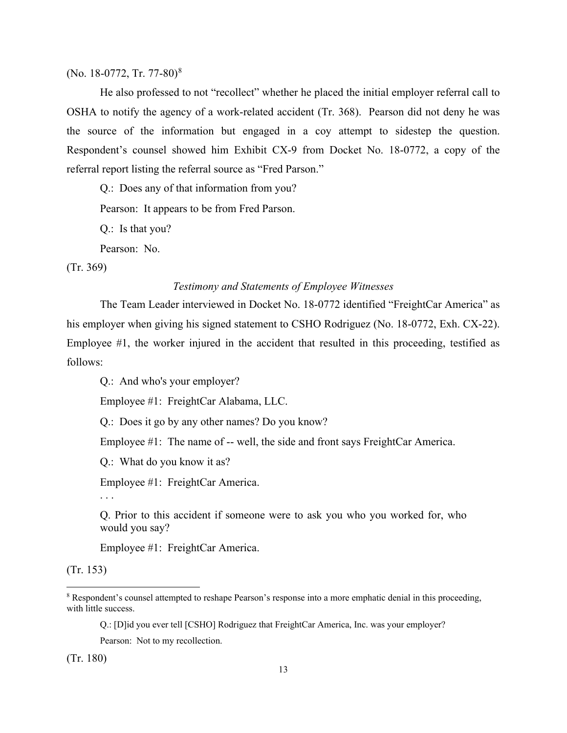(No. 1[8](#page-23-0)-0772, Tr. 77-80)<sup>8</sup>

He also professed to not "recollect" whether he placed the initial employer referral call to OSHA to notify the agency of a work-related accident (Tr. 368). Pearson did not deny he was the source of the information but engaged in a coy attempt to sidestep the question. Respondent's counsel showed him Exhibit CX-9 from Docket No. 18-0772, a copy of the referral report listing the referral source as "Fred Parson."

Q.: Does any of that information from you?

Pearson: It appears to be from Fred Parson.

Q.: Is that you?

Pearson: No.

(Tr. 369)

# *Testimony and Statements of Employee Witnesses*

The Team Leader interviewed in Docket No. 18-0772 identified "FreightCar America" as his employer when giving his signed statement to CSHO Rodriguez (No. 18-0772, Exh. CX-22). Employee #1, the worker injured in the accident that resulted in this proceeding, testified as follows:

Q.: And who's your employer?

Employee #1: FreightCar Alabama, LLC.

Q.: Does it go by any other names? Do you know?

Employee #1: The name of -- well, the side and front says FreightCar America.

Q.: What do you know it as?

Employee #1: FreightCar America.

. . .

Q. Prior to this accident if someone were to ask you who you worked for, who would you say?

Employee #1: FreightCar America.

(Tr. 153)

Q.: [D]id you ever tell [CSHO] Rodriguez that FreightCar America, Inc. was your employer?

Pearson: Not to my recollection.

(Tr. 180)

<span id="page-23-0"></span><sup>8</sup> Respondent's counsel attempted to reshape Pearson's response into a more emphatic denial in this proceeding, with little success.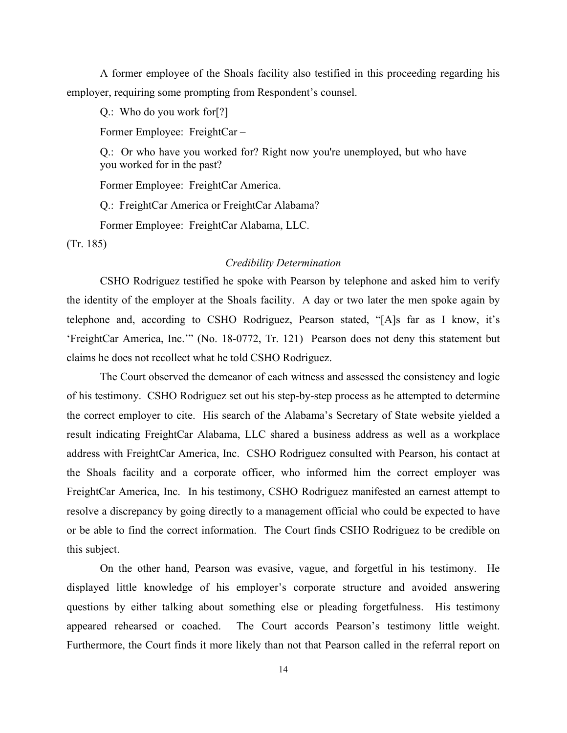A former employee of the Shoals facility also testified in this proceeding regarding his employer, requiring some prompting from Respondent's counsel.

Q.: Who do you work for[?]

Former Employee: FreightCar –

Q.: Or who have you worked for? Right now you're unemployed, but who have you worked for in the past?

Former Employee: FreightCar America.

Q.: FreightCar America or FreightCar Alabama?

Former Employee: FreightCar Alabama, LLC.

(Tr. 185)

### *Credibility Determination*

CSHO Rodriguez testified he spoke with Pearson by telephone and asked him to verify the identity of the employer at the Shoals facility. A day or two later the men spoke again by telephone and, according to CSHO Rodriguez, Pearson stated, "[A]s far as I know, it's 'FreightCar America, Inc.'" (No. 18-0772, Tr. 121) Pearson does not deny this statement but claims he does not recollect what he told CSHO Rodriguez.

The Court observed the demeanor of each witness and assessed the consistency and logic of his testimony. CSHO Rodriguez set out his step-by-step process as he attempted to determine the correct employer to cite. His search of the Alabama's Secretary of State website yielded a result indicating FreightCar Alabama, LLC shared a business address as well as a workplace address with FreightCar America, Inc. CSHO Rodriguez consulted with Pearson, his contact at the Shoals facility and a corporate officer, who informed him the correct employer was FreightCar America, Inc. In his testimony, CSHO Rodriguez manifested an earnest attempt to resolve a discrepancy by going directly to a management official who could be expected to have or be able to find the correct information. The Court finds CSHO Rodriguez to be credible on this subject.

On the other hand, Pearson was evasive, vague, and forgetful in his testimony. He displayed little knowledge of his employer's corporate structure and avoided answering questions by either talking about something else or pleading forgetfulness. His testimony appeared rehearsed or coached. The Court accords Pearson's testimony little weight. Furthermore, the Court finds it more likely than not that Pearson called in the referral report on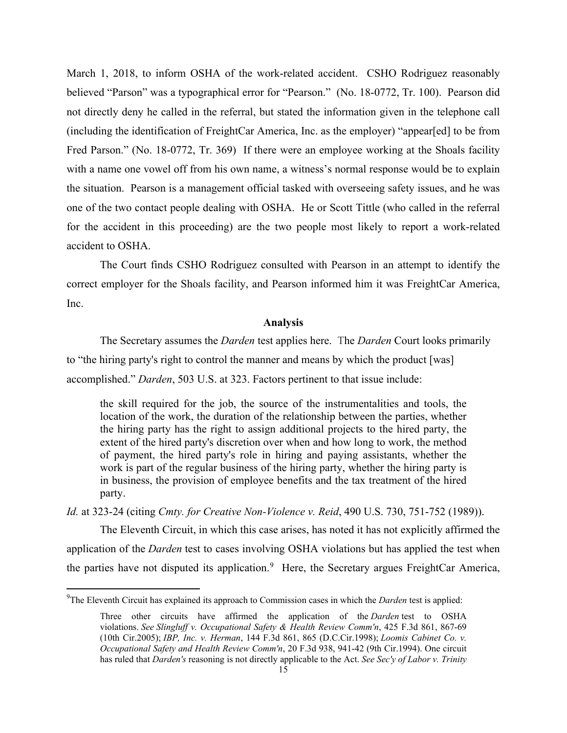March 1, 2018, to inform OSHA of the work-related accident. CSHO Rodriguez reasonably believed "Parson" was a typographical error for "Pearson." (No. 18-0772, Tr. 100). Pearson did not directly deny he called in the referral, but stated the information given in the telephone call (including the identification of FreightCar America, Inc. as the employer) "appear[ed] to be from Fred Parson." (No. 18-0772, Tr. 369) If there were an employee working at the Shoals facility with a name one vowel off from his own name, a witness's normal response would be to explain the situation. Pearson is a management official tasked with overseeing safety issues, and he was one of the two contact people dealing with OSHA. He or Scott Tittle (who called in the referral for the accident in this proceeding) are the two people most likely to report a work-related accident to OSHA.

The Court finds CSHO Rodriguez consulted with Pearson in an attempt to identify the correct employer for the Shoals facility, and Pearson informed him it was FreightCar America, Inc.

## **Analysis**

The Secretary assumes the *Darden* test applies here. The *Darden* Court looks primarily to "the hiring party's right to control the manner and means by which the product [was] accomplished." *Darden*[, 503 U.S. at 323.](https://1.next.westlaw.com/Link/Document/FullText?findType=Y&serNum=1992060791&pubNum=0000780&originatingDoc=Ia29b9b17a8be11e9b8aeecdeb6661cf4&refType=RP&fi=co_pp_sp_780_323&originationContext=document&transitionType=DocumentItem&contextData=(sc.Search)#co_pp_sp_780_323) Factors pertinent to that issue include:

the skill required for the job, the source of the instrumentalities and tools, the location of the work, the duration of the relationship between the parties, whether the hiring party has the right to assign additional projects to the hired party, the extent of the hired party's discretion over when and how long to work, the method of payment, the hired party's role in hiring and paying assistants, whether the work is part of the regular business of the hiring party, whether the hiring party is in business, the provision of employee benefits and the tax treatment of the hired party.

*Id.* [at 323-24](https://1.next.westlaw.com/Link/Document/FullText?findType=Y&serNum=1992060791&pubNum=0000780&originatingDoc=Ia29b9b17a8be11e9b8aeecdeb6661cf4&refType=RP&fi=co_pp_sp_780_323&originationContext=document&transitionType=DocumentItem&contextData=(sc.Search)#co_pp_sp_780_323) (citing *[Cmty. for Creative Non-Violence v. Reid](https://1.next.westlaw.com/Link/Document/FullText?findType=Y&serNum=1989082504&pubNum=0000780&originatingDoc=Ia29b9b17a8be11e9b8aeecdeb6661cf4&refType=RP&fi=co_pp_sp_780_751&originationContext=document&transitionType=DocumentItem&contextData=(sc.Search)#co_pp_sp_780_751)*, 490 U.S. 730, 751-752 (1989)).

The Eleventh Circuit, in which this case arises, has noted it has not explicitly affirmed the application of the *Darden* test to cases involving OSHA violations but has applied the test when the parties have not disputed its application.<sup>[9](#page-25-0)</sup> Here, the Secretary argues FreightCar America,

<span id="page-25-0"></span><sup>9</sup> The Eleventh Circuit has explained its approach to Commission cases in which the *Darden* test is applied:

Three other circuits have affirmed the application of the *Darden* test to OSHA violations. *See [Slingluff v. Occupational Safety & Health Review Comm'n](https://1.next.westlaw.com/Link/Document/FullText?findType=Y&serNum=2007365532&pubNum=0000506&originatingDoc=Ia29b9b17a8be11e9b8aeecdeb6661cf4&refType=RP&fi=co_pp_sp_506_867&originationContext=document&transitionType=DocumentItem&contextData=(sc.Search)#co_pp_sp_506_867)*, 425 F.3d 861, 867-69 [\(10th Cir.2005\);](https://1.next.westlaw.com/Link/Document/FullText?findType=Y&serNum=2007365532&pubNum=0000506&originatingDoc=Ia29b9b17a8be11e9b8aeecdeb6661cf4&refType=RP&fi=co_pp_sp_506_867&originationContext=document&transitionType=DocumentItem&contextData=(sc.Search)#co_pp_sp_506_867) *IBP, Inc. v. Herman*[, 144 F.3d 861, 865 \(D.C.Cir.1998\);](https://1.next.westlaw.com/Link/Document/FullText?findType=Y&serNum=1998112456&pubNum=0000506&originatingDoc=Ia29b9b17a8be11e9b8aeecdeb6661cf4&refType=RP&fi=co_pp_sp_506_865&originationContext=document&transitionType=DocumentItem&contextData=(sc.Search)#co_pp_sp_506_865) *[Loomis Cabinet Co. v.](https://1.next.westlaw.com/Link/Document/FullText?findType=Y&serNum=1994069855&pubNum=0000506&originatingDoc=Ia29b9b17a8be11e9b8aeecdeb6661cf4&refType=RP&fi=co_pp_sp_506_941&originationContext=document&transitionType=DocumentItem&contextData=(sc.Search)#co_pp_sp_506_941)  [Occupational Safety and Health Review Comm'n](https://1.next.westlaw.com/Link/Document/FullText?findType=Y&serNum=1994069855&pubNum=0000506&originatingDoc=Ia29b9b17a8be11e9b8aeecdeb6661cf4&refType=RP&fi=co_pp_sp_506_941&originationContext=document&transitionType=DocumentItem&contextData=(sc.Search)#co_pp_sp_506_941)*, 20 F.3d 938, 941-42 (9th Cir.1994). One circuit has ruled that *Darden's* reasoning is not directly applicable to the Act. *See [Sec'y of Labor v. Trinity](https://1.next.westlaw.com/Link/Document/FullText?findType=Y&serNum=2013096350&pubNum=0000506&originatingDoc=Ia29b9b17a8be11e9b8aeecdeb6661cf4&refType=RP&fi=co_pp_sp_506_402&originationContext=document&transitionType=DocumentItem&contextData=(sc.Search)#co_pp_sp_506_402)*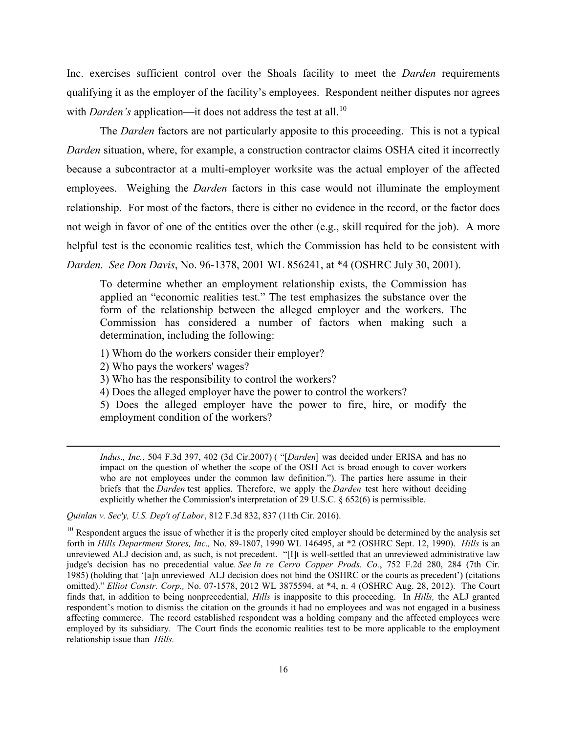Inc. exercises sufficient control over the Shoals facility to meet the *Darden* requirements qualifying it as the employer of the facility's employees. Respondent neither disputes nor agrees with *Darden's* application—it does not address the test at all.<sup>[10](#page-26-0)</sup>

The *Darden* factors are not particularly apposite to this proceeding. This is not a typical *Darden* situation, where, for example, a construction contractor claims OSHA cited it incorrectly because a subcontractor at a multi-employer worksite was the actual employer of the affected employees. Weighing the *Darden* factors in this case would not illuminate the employment relationship. For most of the factors, there is either no evidence in the record, or the factor does not weigh in favor of one of the entities over the other (e.g., skill required for the job). A more helpful test is the economic realities test, which the Commission has held to be consistent with *Darden. See Don Davis*, No. 96-1378, 2001 WL 856241, at \*4 (OSHRC July 30, 2001).

To determine whether an employment relationship exists, the Commission has applied an "economic realities test." The test emphasizes the substance over the form of the relationship between the alleged employer and the workers. The Commission has considered a number of factors when making such a determination, including the following:

1) Whom do the workers consider their employer?

2) Who pays the workers' wages?

3) Who has the responsibility to control the workers?

4) Does the alleged employer have the power to control the workers?

5) Does the alleged employer have the power to fire, hire, or modify the employment condition of the workers?

*Indus., Inc.*[, 504 F.3d 397, 402 \(3d Cir.2007\)](https://1.next.westlaw.com/Link/Document/FullText?findType=Y&serNum=2013096350&pubNum=0000506&originatingDoc=Ia29b9b17a8be11e9b8aeecdeb6661cf4&refType=RP&fi=co_pp_sp_506_402&originationContext=document&transitionType=DocumentItem&contextData=(sc.Search)#co_pp_sp_506_402) ( "[*Darden*] was decided under ERISA and has no impact on the question of whether the scope of the OSH Act is broad enough to cover workers who are not employees under the common law definition."). The parties here assume in their briefs that the *Darden* test applies. Therefore, we apply the *Darden* test here without deciding explicitly whether the Commission's interpretation of [29 U.S.C. § 652\(6\)](https://1.next.westlaw.com/Link/Document/FullText?findType=L&pubNum=1000546&cite=29USCAS652&originatingDoc=Ia29b9b17a8be11e9b8aeecdeb6661cf4&refType=RB&originationContext=document&transitionType=DocumentItem&contextData=(sc.Search)#co_pp_1e9a0000fd6a3) is permissible.

*[Quinlan v. Sec'y, U.S. Dep't of Labor](https://1.next.westlaw.com/Link/Document/FullText?findType=Y&serNum=2037967494&pubNum=0000506&originatingDoc=Ia29b9b17a8be11e9b8aeecdeb6661cf4&refType=RP&fi=co_pp_sp_506_837&originationContext=document&transitionType=DocumentItem&contextData=(sc.Search)#co_pp_sp_506_837)*, 812 F.3d 832, 837 (11th Cir. 2016).

<span id="page-26-0"></span> $10$  Respondent argues the issue of whether it is the properly cited employer should be determined by the analysis set forth in *Hills Department Stores, Inc.,* No. 89-1807, 1990 WL 146495, at \*2 (OSHRC Sept. 12, 1990). *Hills* is an unreviewed ALJ decision and, as such, is not precedent. "[I]t is well-settled that an unreviewed administrative law judge's decision has no precedential value. *See [In re Cerro Copper Prods. Co.](https://1.next.westlaw.com/Link/Document/FullText?findType=Y&serNum=1985102595&pubNum=0000350&originatingDoc=Iab4da73426a211e8ab20b3103407982a&refType=RP&fi=co_pp_sp_350_284&originationContext=document&transitionType=DocumentItem&contextData=(sc.Search)#co_pp_sp_350_284)*, 752 F.2d 280, 284 (7th Cir. [1985\)](https://1.next.westlaw.com/Link/Document/FullText?findType=Y&serNum=1985102595&pubNum=0000350&originatingDoc=Iab4da73426a211e8ab20b3103407982a&refType=RP&fi=co_pp_sp_350_284&originationContext=document&transitionType=DocumentItem&contextData=(sc.Search)#co_pp_sp_350_284) (holding that '[a]n unreviewed ALJ decision does not bind the OSHRC or the courts as precedent') (citations omitted)." *Elliot Constr. Corp.,* No. 07-1578, 2012 WL 3875594, at \*4, n. 4 (OSHRC Aug. 28, 2012). The Court finds that, in addition to being nonprecedential, *Hills* is inapposite to this proceeding. In *Hills,* the ALJ granted respondent's motion to dismiss the citation on the grounds it had no employees and was not engaged in a business affecting commerce. The record established respondent was a holding company and the affected employees were employed by its subsidiary. The Court finds the economic realities test to be more applicable to the employment relationship issue than *Hills.*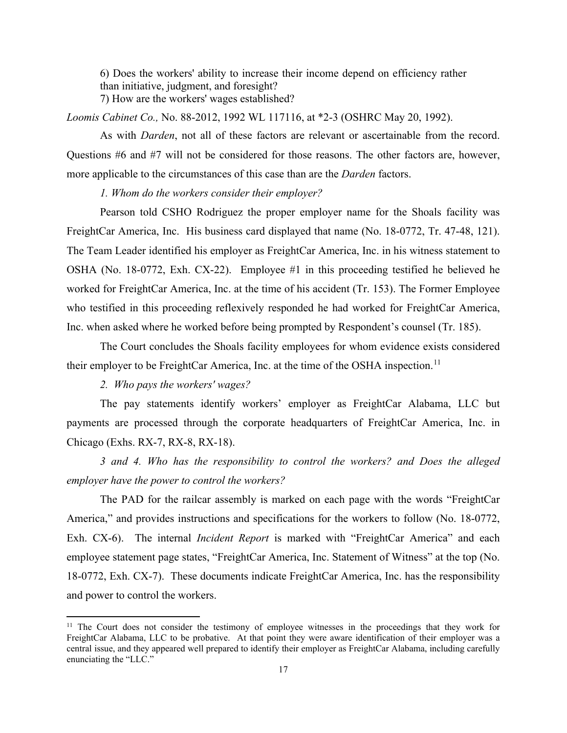6) Does the workers' ability to increase their income depend on efficiency rather than initiative, judgment, and foresight? 7) How are the workers' wages established?

*Loomis Cabinet Co.,* No. 88-2012, 1992 WL 117116, at \*2-3 (OSHRC May 20, 1992).

As with *Darden*, not all of these factors are relevant or ascertainable from the record. Questions #6 and #7 will not be considered for those reasons. The other factors are, however, more applicable to the circumstances of this case than are the *Darden* factors.

*1. Whom do the workers consider their employer?*

Pearson told CSHO Rodriguez the proper employer name for the Shoals facility was FreightCar America, Inc. His business card displayed that name (No. 18-0772, Tr. 47-48, 121). The Team Leader identified his employer as FreightCar America, Inc. in his witness statement to OSHA (No. 18-0772, Exh. CX-22). Employee #1 in this proceeding testified he believed he worked for FreightCar America, Inc. at the time of his accident (Tr. 153). The Former Employee who testified in this proceeding reflexively responded he had worked for FreightCar America, Inc. when asked where he worked before being prompted by Respondent's counsel (Tr. 185).

The Court concludes the Shoals facility employees for whom evidence exists considered their employer to be FreightCar America, Inc. at the time of the OSHA inspection.<sup>[11](#page-27-0)</sup>

 *2. Who pays the workers' wages?*

The pay statements identify workers' employer as FreightCar Alabama, LLC but payments are processed through the corporate headquarters of FreightCar America, Inc. in Chicago (Exhs. RX-7, RX-8, RX-18).

 *3 and 4. Who has the responsibility to control the workers? and Does the alleged employer have the power to control the workers?*

The PAD for the railcar assembly is marked on each page with the words "FreightCar America," and provides instructions and specifications for the workers to follow (No. 18-0772, Exh. CX-6). The internal *Incident Report* is marked with "FreightCar America" and each employee statement page states, "FreightCar America, Inc. Statement of Witness" at the top (No. 18-0772, Exh. CX-7). These documents indicate FreightCar America, Inc. has the responsibility and power to control the workers.

<span id="page-27-0"></span><sup>&</sup>lt;sup>11</sup> The Court does not consider the testimony of employee witnesses in the proceedings that they work for FreightCar Alabama, LLC to be probative. At that point they were aware identification of their employer was a central issue, and they appeared well prepared to identify their employer as FreightCar Alabama, including carefully enunciating the "LLC."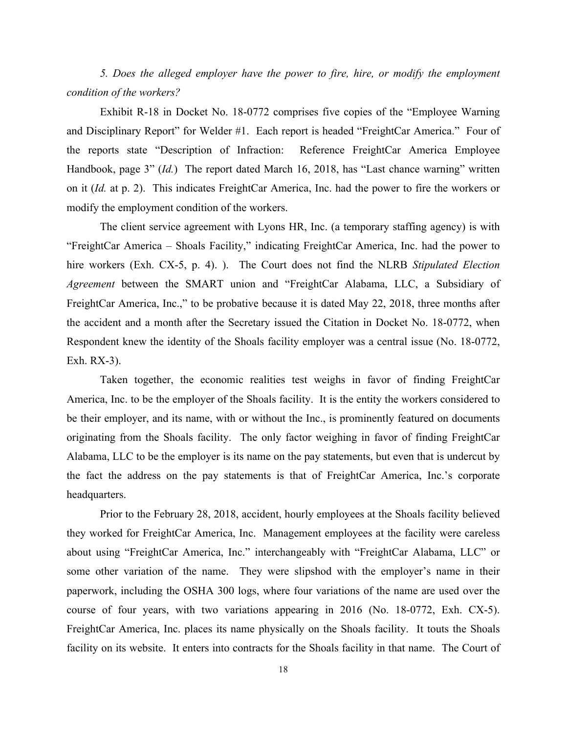*5. Does the alleged employer have the power to fire, hire, or modify the employment condition of the workers?* 

Exhibit R-18 in Docket No. 18-0772 comprises five copies of the "Employee Warning and Disciplinary Report" for Welder #1. Each report is headed "FreightCar America." Four of the reports state "Description of Infraction: Reference FreightCar America Employee Handbook, page 3" (*Id.*) The report dated March 16, 2018, has "Last chance warning" written on it (*Id.* at p. 2). This indicates FreightCar America, Inc. had the power to fire the workers or modify the employment condition of the workers.

The client service agreement with Lyons HR, Inc. (a temporary staffing agency) is with "FreightCar America – Shoals Facility," indicating FreightCar America, Inc. had the power to hire workers (Exh. CX-5, p. 4). ). The Court does not find the NLRB *Stipulated Election Agreement* between the SMART union and "FreightCar Alabama, LLC, a Subsidiary of FreightCar America, Inc.," to be probative because it is dated May 22, 2018, three months after the accident and a month after the Secretary issued the Citation in Docket No. 18-0772, when Respondent knew the identity of the Shoals facility employer was a central issue (No. 18-0772, Exh. RX-3).

Taken together, the economic realities test weighs in favor of finding FreightCar America, Inc. to be the employer of the Shoals facility. It is the entity the workers considered to be their employer, and its name, with or without the Inc., is prominently featured on documents originating from the Shoals facility. The only factor weighing in favor of finding FreightCar Alabama, LLC to be the employer is its name on the pay statements, but even that is undercut by the fact the address on the pay statements is that of FreightCar America, Inc.'s corporate headquarters.

Prior to the February 28, 2018, accident, hourly employees at the Shoals facility believed they worked for FreightCar America, Inc. Management employees at the facility were careless about using "FreightCar America, Inc." interchangeably with "FreightCar Alabama, LLC" or some other variation of the name. They were slipshod with the employer's name in their paperwork, including the OSHA 300 logs, where four variations of the name are used over the course of four years, with two variations appearing in 2016 (No. 18-0772, Exh. CX-5). FreightCar America, Inc. places its name physically on the Shoals facility. It touts the Shoals facility on its website. It enters into contracts for the Shoals facility in that name. The Court of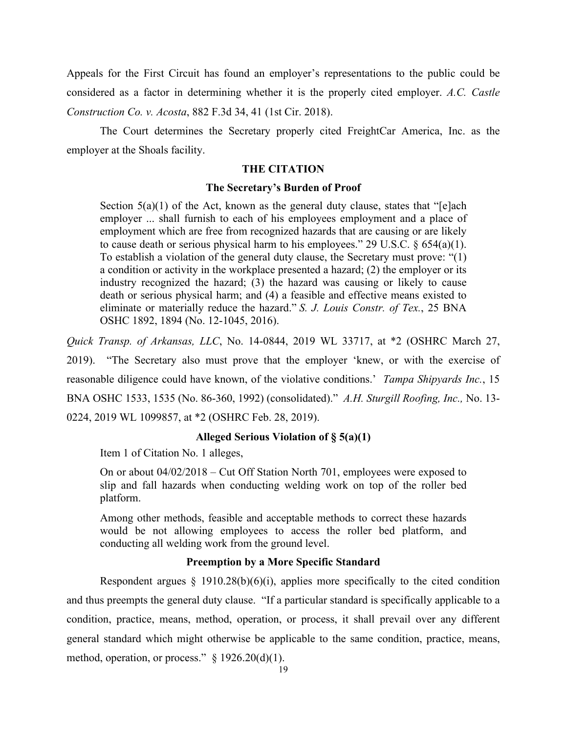Appeals for the First Circuit has found an employer's representations to the public could be considered as a factor in determining whether it is the properly cited employer. *A.C. Castle Construction Co. v. Acosta*, 882 F.3d 34, 41 (1st Cir. 2018).

The Court determines the Secretary properly cited FreightCar America, Inc. as the employer at the Shoals facility.

### **THE CITATION**

#### **The Secretary's Burden of Proof**

Section  $5(a)(1)$  of the Act, known as the general duty clause, states that "[e]ach employer ... shall furnish to each of his employees employment and a place of employment which are free from recognized hazards that are causing or are likely to cause death or serious physical harm to his employees." 29 U.S.C.  $\S$  654(a)(1). To establish a violation of the general duty clause, the Secretary must prove: "(1) a condition or activity in the workplace presented a hazard; (2) the employer or its industry recognized the hazard; (3) the hazard was causing or likely to cause death or serious physical harm; and (4) a feasible and effective means existed to eliminate or materially reduce the hazard." *S. J. Louis Constr. of Tex.*, 25 BNA OSHC 1892, 1894 (No. 12-1045, 2016).

*Quick Transp. of Arkansas, LLC*, No. 14-0844, 2019 WL 33717, at \*2 (OSHRC March 27,

2019). "The Secretary also must prove that the employer 'knew, or with the exercise of reasonable diligence could have known, of the violative conditions.' *Tampa Shipyards Inc.*, 15 BNA OSHC 1533, 1535 (No. 86-360, 1992) (consolidated)." *A.H. Sturgill Roofing, Inc.,* No. 13- 0224, 2019 WL 1099857, at \*2 (OSHRC Feb. 28, 2019).

### **Alleged Serious Violation of § 5(a)(1)**

Item 1 of Citation No. 1 alleges,

On or about 04/02/2018 – Cut Off Station North 701, employees were exposed to slip and fall hazards when conducting welding work on top of the roller bed platform.

Among other methods, feasible and acceptable methods to correct these hazards would be not allowing employees to access the roller bed platform, and conducting all welding work from the ground level.

### **Preemption by a More Specific Standard**

Respondent argues  $\S$  1910.28(b)(6)(i), applies more specifically to the cited condition and thus preempts the general duty clause. "If a particular standard is specifically applicable to a condition, practice, means, method, operation, or process, it shall prevail over any different general standard which might otherwise be applicable to the same condition, practice, means, method, operation, or process." § 1926.20(d)(1).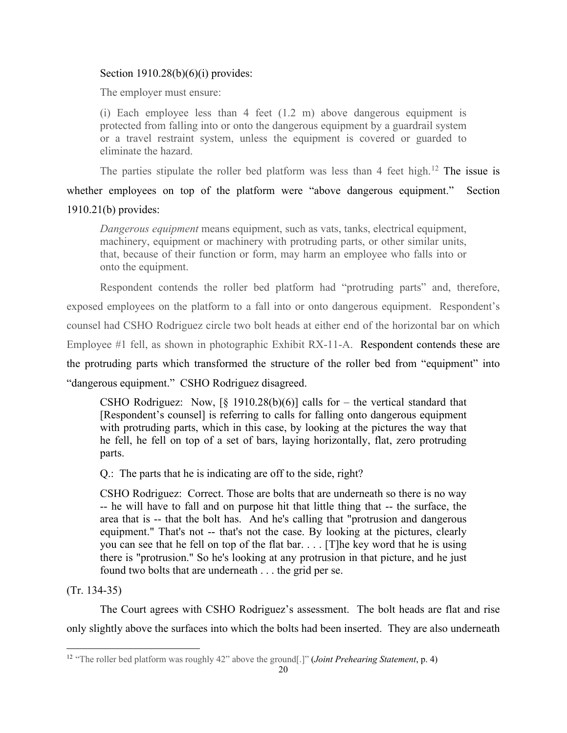# Section  $1910.28(b)(6)(i)$  provides:

The employer must ensure:

(i) Each employee less than 4 feet (1.2 m) above dangerous equipment is protected from falling into or onto the dangerous equipment by a guardrail system or a travel restraint system, unless the equipment is covered or guarded to eliminate the hazard.

The parties stipulate the roller bed platform was less than 4 feet high.<sup>[12](#page-30-0)</sup> The issue is

whether employees on top of the platform were "above dangerous equipment." Section 1910.21(b) provides:

*Dangerous equipment* means equipment, such as vats, tanks, electrical equipment, machinery, equipment or machinery with protruding parts, or other similar units, that, because of their function or form, may harm an employee who falls into or onto the equipment.

Respondent contends the roller bed platform had "protruding parts" and, therefore, exposed employees on the platform to a fall into or onto dangerous equipment. Respondent's counsel had CSHO Rodriguez circle two bolt heads at either end of the horizontal bar on which Employee #1 fell, as shown in photographic Exhibit RX-11-A. Respondent contends these are the protruding parts which transformed the structure of the roller bed from "equipment" into "dangerous equipment." CSHO Rodriguez disagreed.

CSHO Rodriguez: Now,  $[\S$  1910.28(b)(6)] calls for – the vertical standard that [Respondent's counsel] is referring to calls for falling onto dangerous equipment with protruding parts, which in this case, by looking at the pictures the way that he fell, he fell on top of a set of bars, laying horizontally, flat, zero protruding parts.

Q.: The parts that he is indicating are off to the side, right?

CSHO Rodriguez: Correct. Those are bolts that are underneath so there is no way -- he will have to fall and on purpose hit that little thing that -- the surface, the area that is -- that the bolt has. And he's calling that "protrusion and dangerous equipment." That's not -- that's not the case. By looking at the pictures, clearly you can see that he fell on top of the flat bar. . . . [T]he key word that he is using there is "protrusion." So he's looking at any protrusion in that picture, and he just found two bolts that are underneath . . . the grid per se.

(Tr. 134-35)

The Court agrees with CSHO Rodriguez's assessment. The bolt heads are flat and rise only slightly above the surfaces into which the bolts had been inserted. They are also underneath

<span id="page-30-0"></span><sup>12</sup> "The roller bed platform was roughly 42" above the ground[.]" (*Joint Prehearing Statement*, p. 4)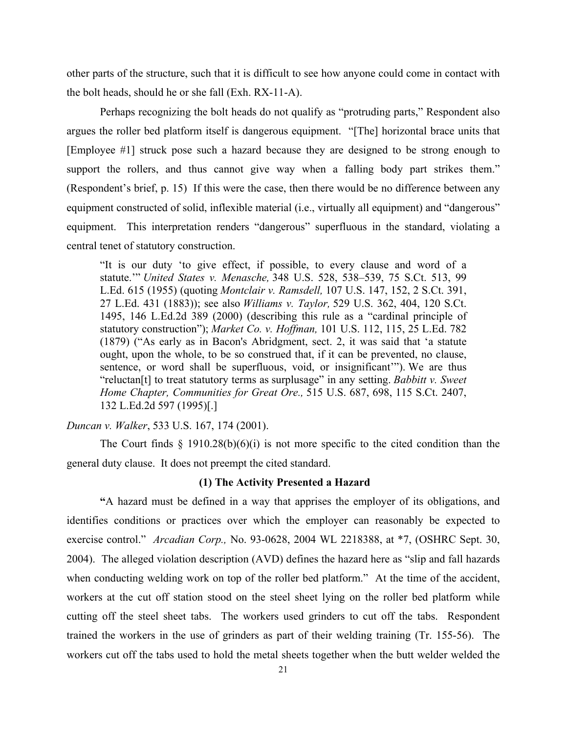other parts of the structure, such that it is difficult to see how anyone could come in contact with the bolt heads, should he or she fall (Exh. RX-11-A).

Perhaps recognizing the bolt heads do not qualify as "protruding parts," Respondent also argues the roller bed platform itself is dangerous equipment. "[The] horizontal brace units that [Employee #1] struck pose such a hazard because they are designed to be strong enough to support the rollers, and thus cannot give way when a falling body part strikes them." (Respondent's brief, p. 15) If this were the case, then there would be no difference between any equipment constructed of solid, inflexible material (i.e., virtually all equipment) and "dangerous" equipment. This interpretation renders "dangerous" superfluous in the standard, violating a central tenet of statutory construction.

"It is our duty 'to give effect, if possible, to every clause and word of a statute.'" *United States v. Menasche,* 348 U.S. 528, 538–539, 75 S.Ct. 513, 99 L.Ed. 615 (1955) (quoting *Montclair v. Ramsdell,* 107 U.S. 147, 152, 2 S.Ct. 391, 27 L.Ed. 431 (1883)); see also *Williams v. Taylor,* 529 U.S. 362, 404, 120 S.Ct. 1495, 146 L.Ed.2d 389 (2000) (describing this rule as a "cardinal principle of statutory construction"); *Market Co. v. Hoffman,* 101 U.S. 112, 115, 25 L.Ed. 782 (1879) ("As early as in Bacon's Abridgment, sect. 2, it was said that 'a statute ought, upon the whole, to be so construed that, if it can be prevented, no clause, sentence, or word shall be superfluous, void, or insignificant'"). We are thus "reluctan[t] to treat statutory terms as surplusage" in any setting. *Babbitt v. Sweet Home Chapter, Communities for Great Ore.,* 515 U.S. 687, 698, 115 S.Ct. 2407, 132 L.Ed.2d 597 (1995)[.]

*Duncan v. Walker*, 533 U.S. 167, 174 (2001).

The Court finds  $\S$  1910.28(b)(6)(i) is not more specific to the cited condition than the general duty clause. It does not preempt the cited standard.

### **(1) The Activity Presented a Hazard**

 **"**A hazard must be defined in a way that apprises the employer of its obligations, and identifies conditions or practices over which the employer can reasonably be expected to exercise control." *Arcadian Corp.,* No. 93-0628, 2004 WL 2218388, at \*7, (OSHRC Sept. 30, 2004). The alleged violation description (AVD) defines the hazard here as "slip and fall hazards when conducting welding work on top of the roller bed platform." At the time of the accident, workers at the cut off station stood on the steel sheet lying on the roller bed platform while cutting off the steel sheet tabs. The workers used grinders to cut off the tabs. Respondent trained the workers in the use of grinders as part of their welding training (Tr. 155-56). The workers cut off the tabs used to hold the metal sheets together when the butt welder welded the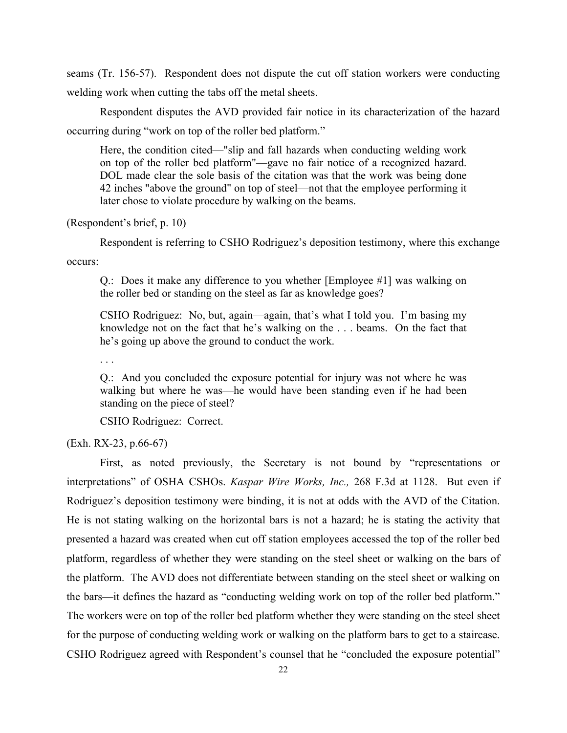seams (Tr. 156-57). Respondent does not dispute the cut off station workers were conducting welding work when cutting the tabs off the metal sheets.

Respondent disputes the AVD provided fair notice in its characterization of the hazard occurring during "work on top of the roller bed platform."

Here, the condition cited—"slip and fall hazards when conducting welding work on top of the roller bed platform"—gave no fair notice of a recognized hazard. DOL made clear the sole basis of the citation was that the work was being done 42 inches "above the ground" on top of steel—not that the employee performing it later chose to violate procedure by walking on the beams.

### (Respondent's brief, p. 10)

Respondent is referring to CSHO Rodriguez's deposition testimony, where this exchange

occurs:

Q.: Does it make any difference to you whether [Employee #1] was walking on the roller bed or standing on the steel as far as knowledge goes?

CSHO Rodriguez: No, but, again—again, that's what I told you. I'm basing my knowledge not on the fact that he's walking on the . . . beams. On the fact that he's going up above the ground to conduct the work.

. . .

Q.: And you concluded the exposure potential for injury was not where he was walking but where he was—he would have been standing even if he had been standing on the piece of steel?

CSHO Rodriguez: Correct.

(Exh. RX-23, p.66-67)

First, as noted previously, the Secretary is not bound by "representations or interpretations" of OSHA CSHOs. *Kaspar Wire Works, Inc.,* 268 F.3d at 1128. But even if Rodriguez's deposition testimony were binding, it is not at odds with the AVD of the Citation. He is not stating walking on the horizontal bars is not a hazard; he is stating the activity that presented a hazard was created when cut off station employees accessed the top of the roller bed platform, regardless of whether they were standing on the steel sheet or walking on the bars of the platform. The AVD does not differentiate between standing on the steel sheet or walking on the bars—it defines the hazard as "conducting welding work on top of the roller bed platform." The workers were on top of the roller bed platform whether they were standing on the steel sheet for the purpose of conducting welding work or walking on the platform bars to get to a staircase. CSHO Rodriguez agreed with Respondent's counsel that he "concluded the exposure potential"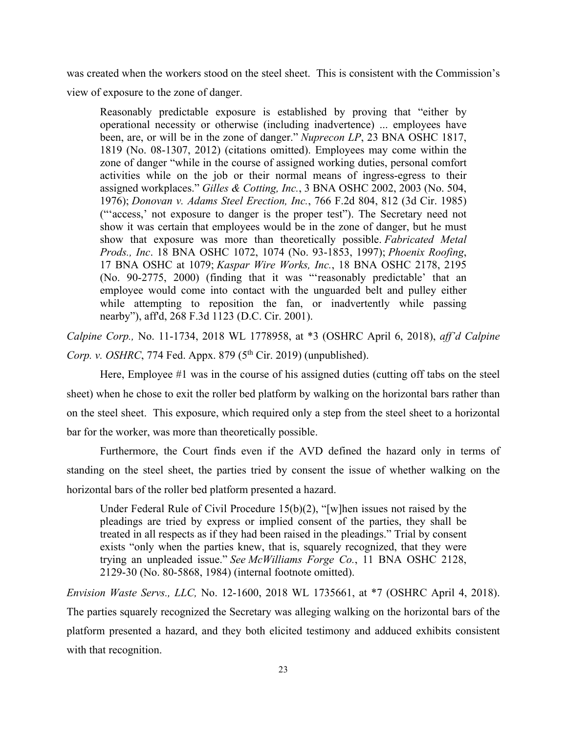was created when the workers stood on the steel sheet. This is consistent with the Commission's view of exposure to the zone of danger.

Reasonably predictable exposure is established by proving that "either by operational necessity or otherwise (including inadvertence) ... employees have been, are, or will be in the zone of danger." *Nuprecon LP*, 23 BNA OSHC 1817, 1819 (No. 08-1307, 2012) (citations omitted). Employees may come within the zone of danger "while in the course of assigned working duties, personal comfort activities while on the job or their normal means of ingress-egress to their assigned workplaces." *Gilles & Cotting, Inc.*, 3 BNA OSHC 2002, 2003 (No. 504, 1976); *Donovan v. Adams Steel Erection, Inc.*, 766 F.2d 804, 812 (3d Cir. 1985) ("'access,' not exposure to danger is the proper test"). The Secretary need not show it was certain that employees would be in the zone of danger, but he must show that exposure was more than theoretically possible. *Fabricated Metal Prods., Inc*. 18 BNA OSHC 1072, 1074 (No. 93-1853, 1997); *Phoenix Roofing*, 17 BNA OSHC at 1079; *Kaspar Wire Works, Inc.*, 18 BNA OSHC 2178, 2195 (No. 90-2775, 2000) (finding that it was "'reasonably predictable' that an employee would come into contact with the unguarded belt and pulley either while attempting to reposition the fan, or inadvertently while passing nearby"), aff'd, 268 F.3d 1123 (D.C. Cir. 2001).

*Calpine Corp.,* No. 11-1734, 2018 WL 1778958, at \*3 (OSHRC April 6, 2018), *aff'd Calpine Corp. v. OSHRC*, 774 Fed. Appx. 879 (5<sup>th</sup> Cir. 2019) (unpublished).

Here, Employee #1 was in the course of his assigned duties (cutting off tabs on the steel sheet) when he chose to exit the roller bed platform by walking on the horizontal bars rather than on the steel sheet. This exposure, which required only a step from the steel sheet to a horizontal bar for the worker, was more than theoretically possible.

Furthermore, the Court finds even if the AVD defined the hazard only in terms of standing on the steel sheet, the parties tried by consent the issue of whether walking on the horizontal bars of the roller bed platform presented a hazard.

Under Federal Rule of Civil Procedure 15(b)(2), "[w]hen issues not raised by the pleadings are tried by express or implied consent of the parties, they shall be treated in all respects as if they had been raised in the pleadings." Trial by consent exists "only when the parties knew, that is, squarely recognized, that they were trying an unpleaded issue." *See McWilliams Forge Co.*, 11 BNA OSHC 2128, 2129-30 (No. 80-5868, 1984) (internal footnote omitted).

*Envision Waste Servs., LLC,* No. 12-1600, 2018 WL 1735661, at \*7 (OSHRC April 4, 2018). The parties squarely recognized the Secretary was alleging walking on the horizontal bars of the platform presented a hazard, and they both elicited testimony and adduced exhibits consistent with that recognition.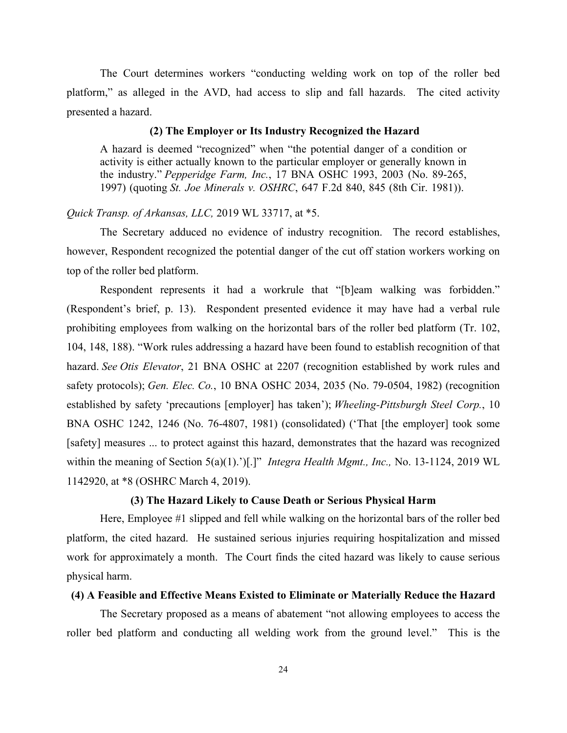The Court determines workers "conducting welding work on top of the roller bed platform," as alleged in the AVD, had access to slip and fall hazards. The cited activity presented a hazard.

#### **(2) The Employer or Its Industry Recognized the Hazard**

A hazard is deemed "recognized" when "the potential danger of a condition or activity is either actually known to the particular employer or generally known in the industry." *Pepperidge Farm, Inc.*, 17 BNA OSHC 1993, 2003 (No. 89-265, 1997) (quoting *St. Joe Minerals v. OSHRC*, 647 F.2d 840, 845 (8th Cir. 1981)).

# *Quick Transp. of Arkansas, LLC,* 2019 WL 33717, at \*5.

The Secretary adduced no evidence of industry recognition. The record establishes, however, Respondent recognized the potential danger of the cut off station workers working on top of the roller bed platform.

Respondent represents it had a workrule that "[b]eam walking was forbidden." (Respondent's brief, p. 13). Respondent presented evidence it may have had a verbal rule prohibiting employees from walking on the horizontal bars of the roller bed platform (Tr. 102, 104, 148, 188). "Work rules addressing a hazard have been found to establish recognition of that hazard. *See Otis Elevator*, 21 BNA OSHC at 2207 (recognition established by work rules and safety protocols); *Gen. Elec. Co.*, 10 BNA OSHC 2034, 2035 (No. 79-0504, 1982) (recognition established by safety 'precautions [employer] has taken'); *Wheeling-Pittsburgh Steel Corp.*, 10 BNA OSHC 1242, 1246 (No. 76-4807, 1981) (consolidated) ('That [the employer] took some [safety] measures ... to protect against this hazard, demonstrates that the hazard was recognized within the meaning of Section 5(a)(1).')[.]" *Integra Health Mgmt., Inc., No.* 13-1124, 2019 WL 1142920, at \*8 (OSHRC March 4, 2019).

### **(3) The Hazard Likely to Cause Death or Serious Physical Harm**

Here, Employee #1 slipped and fell while walking on the horizontal bars of the roller bed platform, the cited hazard. He sustained serious injuries requiring hospitalization and missed work for approximately a month. The Court finds the cited hazard was likely to cause serious physical harm.

### **(4) A Feasible and Effective Means Existed to Eliminate or Materially Reduce the Hazard**

The Secretary proposed as a means of abatement "not allowing employees to access the roller bed platform and conducting all welding work from the ground level." This is the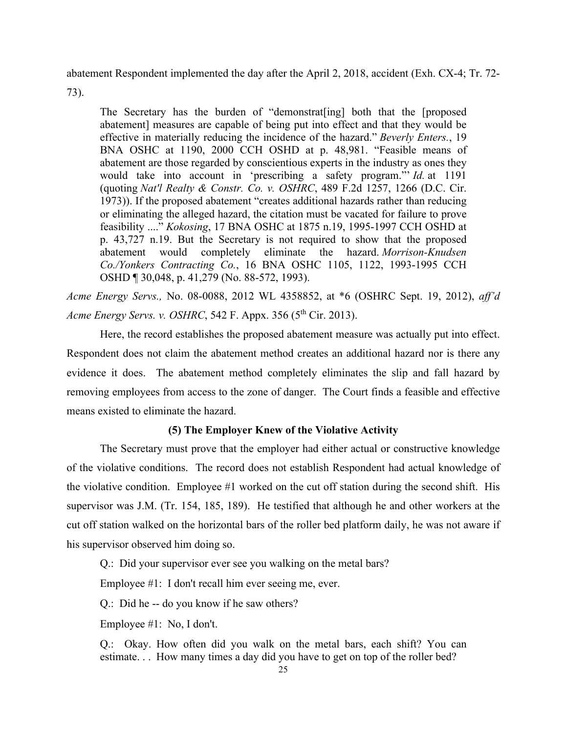abatement Respondent implemented the day after the April 2, 2018, accident (Exh. CX-4; Tr. 72-

73).

The Secretary has the burden of "demonstrat[ing] both that the [proposed abatement] measures are capable of being put into effect and that they would be effective in materially reducing the incidence of the hazard." *Beverly Enters.*, 19 BNA OSHC at 1190, 2000 CCH OSHD at p. 48,981. "Feasible means of abatement are those regarded by conscientious experts in the industry as ones they would take into account in 'prescribing a safety program."' *Id.* at 1191 (quoting *Nat'l Realty & Constr. Co. v. OSHRC*, 489 F.2d 1257, 1266 (D.C. Cir. 1973)). If the proposed abatement "creates additional hazards rather than reducing or eliminating the alleged hazard, the citation must be vacated for failure to prove feasibility ...." *Kokosing*, 17 BNA OSHC at 1875 n.19, 1995-1997 CCH OSHD at p. 43,727 n.19. But the Secretary is not required to show that the proposed abatement would completely eliminate the hazard. *Morrison-Knudsen Co./Yonkers Contracting Co.*, 16 BNA OSHC 1105, 1122, 1993-1995 CCH OSHD ¶ 30,048, p. 41,279 (No. 88-572, 1993).

*Acme Energy Servs.,* No. 08-0088, 2012 WL 4358852, at \*6 (OSHRC Sept. 19, 2012), *aff'd Acme Energy Servs. v. OSHRC*, 542 F. Appx. 356 (5<sup>th</sup> Cir. 2013).

Here, the record establishes the proposed abatement measure was actually put into effect. Respondent does not claim the abatement method creates an additional hazard nor is there any evidence it does. The abatement method completely eliminates the slip and fall hazard by removing employees from access to the zone of danger. The Court finds a feasible and effective means existed to eliminate the hazard.

# **(5) The Employer Knew of the Violative Activity**

The Secretary must prove that the employer had either actual or constructive knowledge of the violative conditions. The record does not establish Respondent had actual knowledge of the violative condition. Employee #1 worked on the cut off station during the second shift. His supervisor was J.M. (Tr. 154, 185, 189). He testified that although he and other workers at the cut off station walked on the horizontal bars of the roller bed platform daily, he was not aware if his supervisor observed him doing so.

Q.: Did your supervisor ever see you walking on the metal bars?

Employee #1: I don't recall him ever seeing me, ever.

Q.: Did he -- do you know if he saw others?

Employee #1: No, I don't.

Q.: Okay. How often did you walk on the metal bars, each shift? You can estimate. . . How many times a day did you have to get on top of the roller bed?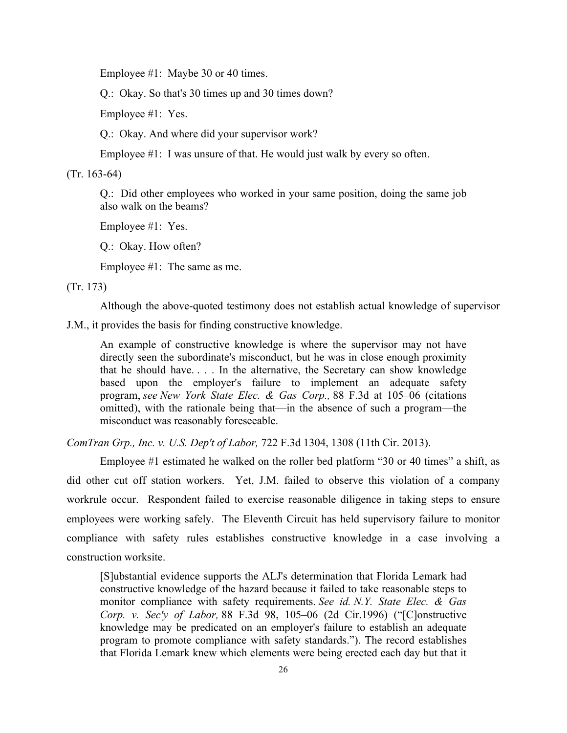Employee #1: Maybe 30 or 40 times.

Q.: Okay. So that's 30 times up and 30 times down?

Employee #1: Yes.

Q.: Okay. And where did your supervisor work?

Employee #1: I was unsure of that. He would just walk by every so often.

(Tr. 163-64)

Q.: Did other employees who worked in your same position, doing the same job also walk on the beams?

Employee #1: Yes.

Q.: Okay. How often?

Employee #1: The same as me.

(Tr. 173)

Although the above-quoted testimony does not establish actual knowledge of supervisor

J.M., it provides the basis for finding constructive knowledge.

An example of constructive knowledge is where the supervisor may not have directly seen the subordinate's misconduct, but he was in close enough proximity that he should have. . . . In the alternative, the Secretary can show knowledge based upon the employer's failure to implement an adequate safety program, *see New York State Elec. & Gas Corp.,* 88 F.3d at 105–06 (citations omitted), with the rationale being that—in the absence of such a program—the misconduct was reasonably foreseeable.

*ComTran Grp., Inc. v. U.S. Dep't of Labor,* 722 F.3d 1304, 1308 (11th Cir. 2013).

Employee #1 estimated he walked on the roller bed platform "30 or 40 times" a shift, as did other cut off station workers. Yet, J.M. failed to observe this violation of a company workrule occur. Respondent failed to exercise reasonable diligence in taking steps to ensure employees were working safely. The Eleventh Circuit has held supervisory failure to monitor compliance with safety rules establishes constructive knowledge in a case involving a construction worksite.

[S]ubstantial evidence supports the ALJ's determination that Florida Lemark had constructive knowledge of the hazard because it failed to take reasonable steps to monitor compliance with safety requirements. *See id. N.Y. State Elec. & Gas Corp. v. Sec'y of Labor,* 88 F.3d 98, 105–06 (2d Cir.1996) ("[C]onstructive knowledge may be predicated on an employer's failure to establish an adequate program to promote compliance with safety standards."). The record establishes that Florida Lemark knew which elements were being erected each day but that it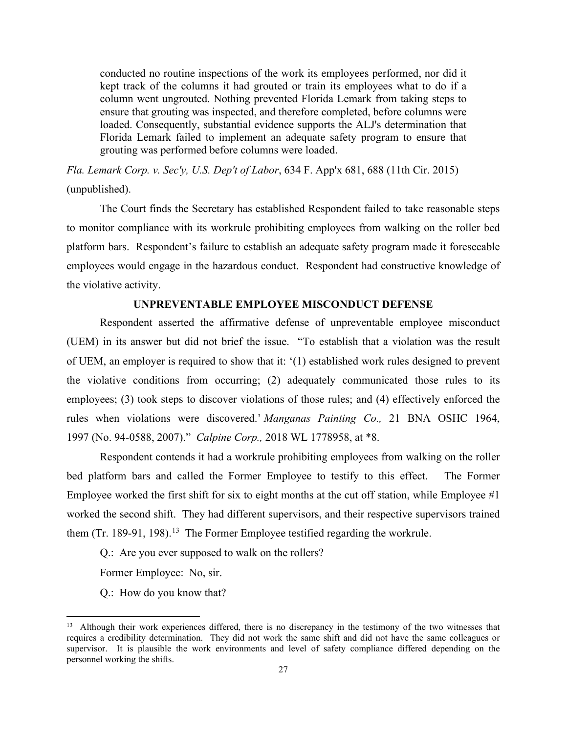conducted no routine inspections of the work its employees performed, nor did it kept track of the columns it had grouted or train its employees what to do if a column went ungrouted. Nothing prevented Florida Lemark from taking steps to ensure that grouting was inspected, and therefore completed, before columns were loaded. Consequently, substantial evidence supports the ALJ's determination that Florida Lemark failed to implement an adequate safety program to ensure that grouting was performed before columns were loaded.

*Fla. Lemark Corp. v. Sec'y, U.S. Dep't of Labor*, 634 F. App'x 681, 688 (11th Cir. 2015) (unpublished).

The Court finds the Secretary has established Respondent failed to take reasonable steps to monitor compliance with its workrule prohibiting employees from walking on the roller bed platform bars. Respondent's failure to establish an adequate safety program made it foreseeable employees would engage in the hazardous conduct. Respondent had constructive knowledge of the violative activity.

### **UNPREVENTABLE EMPLOYEE MISCONDUCT DEFENSE**

Respondent asserted the affirmative defense of unpreventable employee misconduct (UEM) in its answer but did not brief the issue. "To establish that a violation was the result of UEM, an employer is required to show that it: '(1) established work rules designed to prevent the violative conditions from occurring; (2) adequately communicated those rules to its employees; (3) took steps to discover violations of those rules; and (4) effectively enforced the rules when violations were discovered.' *Manganas Painting Co.,* 21 BNA OSHC 1964, 1997 (No. 94-0588, 2007)." *Calpine Corp.,* 2018 WL 1778958, at \*8.

 Respondent contends it had a workrule prohibiting employees from walking on the roller bed platform bars and called the Former Employee to testify to this effect. The Former Employee worked the first shift for six to eight months at the cut off station, while Employee #1 worked the second shift. They had different supervisors, and their respective supervisors trained them (Tr. 189-91, 198).<sup>13</sup> The Former Employee testified regarding the workrule.

Q.: Are you ever supposed to walk on the rollers?

Former Employee: No, sir.

Q.: How do you know that?

<span id="page-37-0"></span><sup>&</sup>lt;sup>13</sup> Although their work experiences differed, there is no discrepancy in the testimony of the two witnesses that requires a credibility determination. They did not work the same shift and did not have the same colleagues or supervisor. It is plausible the work environments and level of safety compliance differed depending on the personnel working the shifts.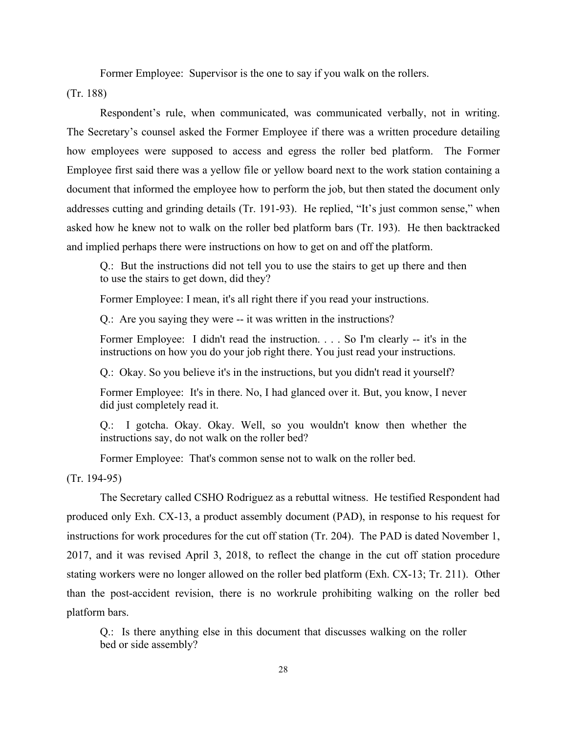Former Employee: Supervisor is the one to say if you walk on the rollers.

(Tr. 188)

 Respondent's rule, when communicated, was communicated verbally, not in writing. The Secretary's counsel asked the Former Employee if there was a written procedure detailing how employees were supposed to access and egress the roller bed platform. The Former Employee first said there was a yellow file or yellow board next to the work station containing a document that informed the employee how to perform the job, but then stated the document only addresses cutting and grinding details (Tr. 191-93). He replied, "It's just common sense," when asked how he knew not to walk on the roller bed platform bars (Tr. 193). He then backtracked and implied perhaps there were instructions on how to get on and off the platform.

Q.: But the instructions did not tell you to use the stairs to get up there and then to use the stairs to get down, did they?

Former Employee: I mean, it's all right there if you read your instructions.

Q.: Are you saying they were -- it was written in the instructions?

Former Employee: I didn't read the instruction. . . . So I'm clearly -- it's in the instructions on how you do your job right there. You just read your instructions.

Q.: Okay. So you believe it's in the instructions, but you didn't read it yourself?

Former Employee: It's in there. No, I had glanced over it. But, you know, I never did just completely read it.

Q.: I gotcha. Okay. Okay. Well, so you wouldn't know then whether the instructions say, do not walk on the roller bed?

Former Employee: That's common sense not to walk on the roller bed.

(Tr. 194-95)

The Secretary called CSHO Rodriguez as a rebuttal witness. He testified Respondent had produced only Exh. CX-13, a product assembly document (PAD), in response to his request for instructions for work procedures for the cut off station (Tr. 204). The PAD is dated November 1, 2017, and it was revised April 3, 2018, to reflect the change in the cut off station procedure stating workers were no longer allowed on the roller bed platform (Exh. CX-13; Tr. 211). Other than the post-accident revision, there is no workrule prohibiting walking on the roller bed platform bars.

Q.: Is there anything else in this document that discusses walking on the roller bed or side assembly?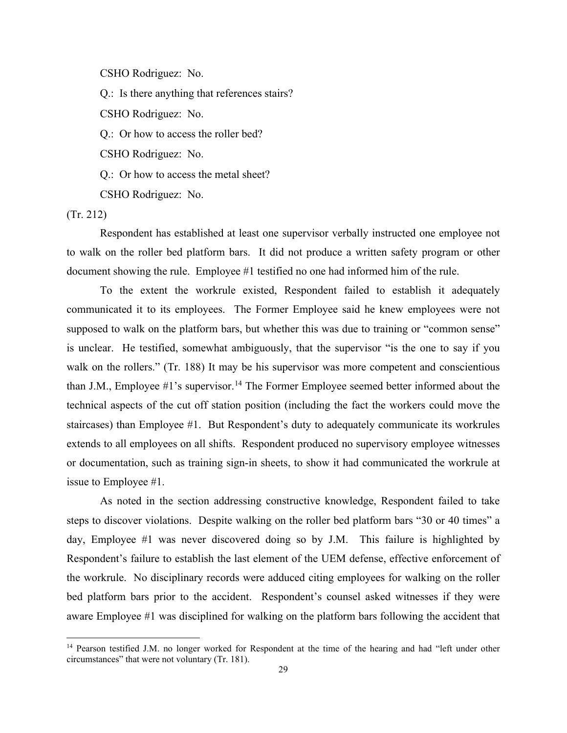CSHO Rodriguez: No.

Q.: Is there anything that references stairs?

CSHO Rodriguez: No.

Q.: Or how to access the roller bed?

CSHO Rodriguez: No.

Q.: Or how to access the metal sheet?

CSHO Rodriguez: No.

(Tr. 212)

Respondent has established at least one supervisor verbally instructed one employee not to walk on the roller bed platform bars. It did not produce a written safety program or other document showing the rule. Employee #1 testified no one had informed him of the rule.

 To the extent the workrule existed, Respondent failed to establish it adequately communicated it to its employees. The Former Employee said he knew employees were not supposed to walk on the platform bars, but whether this was due to training or "common sense" is unclear. He testified, somewhat ambiguously, that the supervisor "is the one to say if you walk on the rollers." (Tr. 188) It may be his supervisor was more competent and conscientious than J.M., Employee  $#1$ 's supervisor.<sup>[14](#page-39-0)</sup> The Former Employee seemed better informed about the technical aspects of the cut off station position (including the fact the workers could move the staircases) than Employee #1. But Respondent's duty to adequately communicate its workrules extends to all employees on all shifts. Respondent produced no supervisory employee witnesses or documentation, such as training sign-in sheets, to show it had communicated the workrule at issue to Employee #1.

As noted in the section addressing constructive knowledge, Respondent failed to take steps to discover violations. Despite walking on the roller bed platform bars "30 or 40 times" a day, Employee #1 was never discovered doing so by J.M. This failure is highlighted by Respondent's failure to establish the last element of the UEM defense, effective enforcement of the workrule. No disciplinary records were adduced citing employees for walking on the roller bed platform bars prior to the accident. Respondent's counsel asked witnesses if they were aware Employee #1 was disciplined for walking on the platform bars following the accident that

<span id="page-39-0"></span><sup>&</sup>lt;sup>14</sup> Pearson testified J.M. no longer worked for Respondent at the time of the hearing and had "left under other circumstances" that were not voluntary (Tr. 181).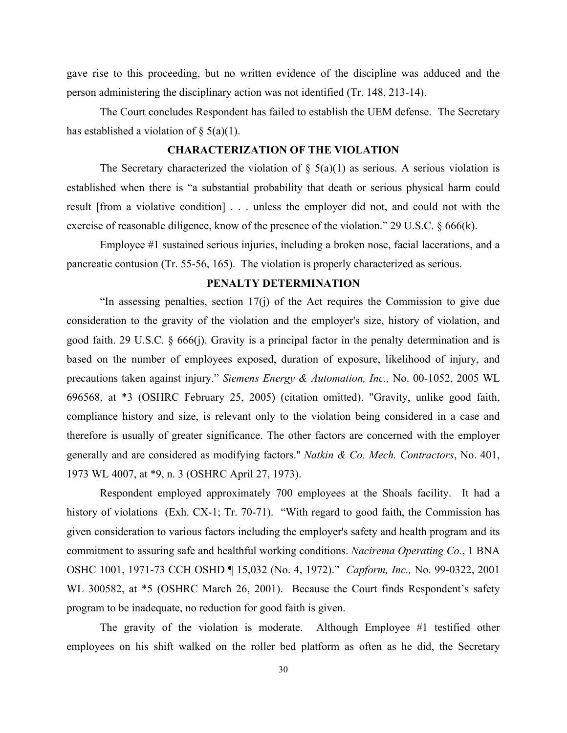gave rise to this proceeding, but no written evidence of the discipline was adduced and the person administering the disciplinary action was not identified (Tr. 148, 213-14).

The Court concludes Respondent has failed to establish the UEM defense. The Secretary has established a violation of  $\S$  5(a)(1).

# **CHARACTERIZATION OF THE VIOLATION**

The Secretary characterized the violation of  $\S$  5(a)(1) as serious. A serious violation is established when there is "a substantial probability that death or serious physical harm could result [from a violative condition] . . . unless the employer did not, and could not with the exercise of reasonable diligence, know of the presence of the violation." 29 U.S.C. § 666(k).

Employee #1 sustained serious injuries, including a broken nose, facial lacerations, and a pancreatic contusion (Tr. 55-56, 165). The violation is properly characterized as serious.

#### **PENALTY DETERMINATION**

"In assessing penalties, section 17(j) of the Act requires the Commission to give due consideration to the gravity of the violation and the employer's size, history of violation, and good faith. 29 U.S.C. § 666(j). Gravity is a principal factor in the penalty determination and is based on the number of employees exposed, duration of exposure, likelihood of injury, and precautions taken against injury." *Siemens Energy & Automation, Inc.,* No. 00-1052, 2005 WL 696568, at \*3 (OSHRC February 25, 2005) (citation omitted). "Gravity, unlike good faith, compliance history and size, is relevant only to the violation being considered in a case and therefore is usually of greater significance. The other factors are concerned with the employer generally and are considered as modifying factors.'' *Natkin & Co. Mech. Contractors*, No. 401, 1973 WL 4007, at \*9, n. 3 (OSHRC April 27, 1973).

Respondent employed approximately 700 employees at the Shoals facility. It had a history of violations (Exh. CX-1; Tr. 70-71). "With regard to good faith, the Commission has given consideration to various factors including the employer's safety and health program and its commitment to assuring safe and healthful working conditions. *Nacirema Operating Co.*, 1 BNA OSHC 1001, 1971-73 CCH OSHD ¶ 15,032 (No. 4, 1972)." *Capform, Inc.,* No. 99-0322, 2001 WL 300582, at \*5 (OSHRC March 26, 2001). Because the Court finds Respondent's safety program to be inadequate, no reduction for good faith is given.

The gravity of the violation is moderate. Although Employee #1 testified other employees on his shift walked on the roller bed platform as often as he did, the Secretary